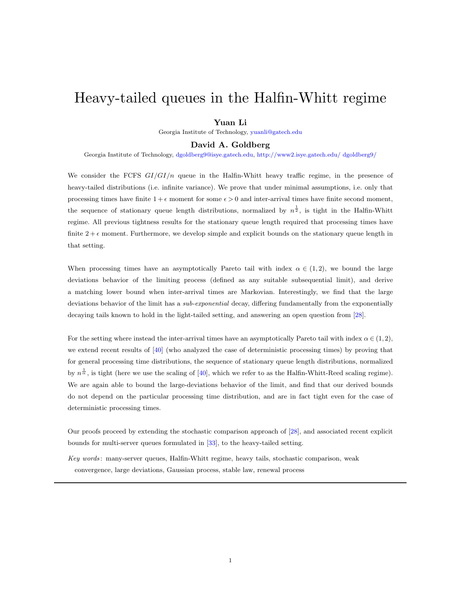# Heavy-tailed queues in the Halfin-Whitt regime

#### Yuan Li

Georgia Institute of Technology, [yuanli@gatech.edu](mailto:yuanli@gatech.edu)

# David A. Goldberg

Georgia Institute of Technology, [dgoldberg9@isye.gatech.edu,](mailto:dgoldberg9@isye.gatech.edu) [http://www2.isye.gatech.edu/ dgoldberg9/](http://www2.isye.gatech.edu/~dgoldberg9/)

We consider the FCFS  $GI/GI/n$  queue in the Halfin-Whitt heavy traffic regime, in the presence of heavy-tailed distributions (i.e. infinite variance). We prove that under minimal assumptions, i.e. only that processing times have finite  $1 + \epsilon$  moment for some  $\epsilon > 0$  and inter-arrival times have finite second moment, the sequence of stationary queue length distributions, normalized by  $n^{\frac{1}{2}}$ , is tight in the Halfin-Whitt regime. All previous tightness results for the stationary queue length required that processing times have finite  $2 + \epsilon$  moment. Furthermore, we develop simple and explicit bounds on the stationary queue length in that setting.

When processing times have an asymptotically Pareto tail with index  $\alpha \in (1,2)$ , we bound the large deviations behavior of the limiting process (defined as any suitable subsequential limit), and derive a matching lower bound when inter-arrival times are Markovian. Interestingly, we find that the large deviations behavior of the limit has a *sub-exponential* decay, differing fundamentally from the exponentially decaying tails known to hold in the light-tailed setting, and answering an open question from [\[28\]](#page-31-0).

For the setting where instead the inter-arrival times have an asymptotically Pareto tail with index  $\alpha \in (1, 2)$ , we extend recent results of [\[40\]](#page-32-0) (who analyzed the case of deterministic processing times) by proving that for general processing time distributions, the sequence of stationary queue length distributions, normalized by  $n^{\frac{1}{\alpha}}$ , is tight (here we use the scaling of [\[40\]](#page-32-0), which we refer to as the Halfin-Whitt-Reed scaling regime). We are again able to bound the large-deviations behavior of the limit, and find that our derived bounds do not depend on the particular processing time distribution, and are in fact tight even for the case of deterministic processing times.

Our proofs proceed by extending the stochastic comparison approach of [\[28\]](#page-31-0), and associated recent explicit bounds for multi-server queues formulated in [\[33\]](#page-31-1), to the heavy-tailed setting.

Key words : many-server queues, Halfin-Whitt regime, heavy tails, stochastic comparison, weak convergence, large deviations, Gaussian process, stable law, renewal process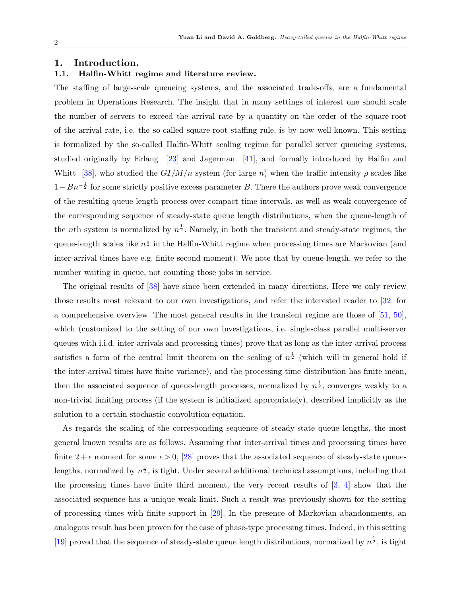# 1. Introduction.

# 1.1. Halfin-Whitt regime and literature review.

The staffing of large-scale queueing systems, and the associated trade-offs, are a fundamental problem in Operations Research. The insight that in many settings of interest one should scale the number of servers to exceed the arrival rate by a quantity on the order of the square-root of the arrival rate, i.e. the so-called square-root staffing rule, is by now well-known. This setting is formalized by the so-called Halfin-Whitt scaling regime for parallel server queueing systems, studied originally by Erlang [\[23\]](#page-31-2) and Jagerman [\[41\]](#page-32-1), and formally introduced by Halfin and Whitt [\[38\]](#page-32-2), who studied the  $GI/M/n$  system (for large n) when the traffic intensity  $\rho$  scales like  $1 - Bn^{-\frac{1}{2}}$  for some strictly positive excess parameter B. There the authors prove weak convergence of the resulting queue-length process over compact time intervals, as well as weak convergence of the corresponding sequence of steady-state queue length distributions, when the queue-length of the nth system is normalized by  $n^{\frac{1}{2}}$ . Namely, in both the transient and steady-state regimes, the queue-length scales like  $n^{\frac{1}{2}}$  in the Halfin-Whitt regime when processing times are Markovian (and inter-arrival times have e.g. finite second moment). We note that by queue-length, we refer to the number waiting in queue, not counting those jobs in service.

The original results of [\[38\]](#page-32-2) have since been extended in many directions. Here we only review those results most relevant to our own investigations, and refer the interested reader to [\[32\]](#page-31-3) for a comprehensive overview. The most general results in the transient regime are those of [\[51,](#page-32-3) [50\]](#page-32-4), which (customized to the setting of our own investigations, i.e. single-class parallel multi-server queues with i.i.d. inter-arrivals and processing times) prove that as long as the inter-arrival process satisfies a form of the central limit theorem on the scaling of  $n^{\frac{1}{2}}$  (which will in general hold if the inter-arrival times have finite variance), and the processing time distribution has finite mean, then the associated sequence of queue-length processes, normalized by  $n^{\frac{1}{2}}$ , converges weakly to a non-trivial limiting process (if the system is initialized appropriately), described implicitly as the solution to a certain stochastic convolution equation.

As regards the scaling of the corresponding sequence of steady-state queue lengths, the most general known results are as follows. Assuming that inter-arrival times and processing times have finite  $2 + \epsilon$  moment for some  $\epsilon > 0$ , [\[28\]](#page-31-0) proves that the associated sequence of steady-state queuelengths, normalized by  $n^{\frac{1}{2}}$ , is tight. Under several additional technical assumptions, including that the processing times have finite third moment, the very recent results of  $[3, 4]$  $[3, 4]$  show that the associated sequence has a unique weak limit. Such a result was previously shown for the setting of processing times with finite support in [\[29\]](#page-31-4). In the presence of Markovian abandonments, an analogous result has been proven for the case of phase-type processing times. Indeed, in this setting [\[19\]](#page-31-5) proved that the sequence of steady-state queue length distributions, normalized by  $n^{\frac{1}{2}}$ , is tight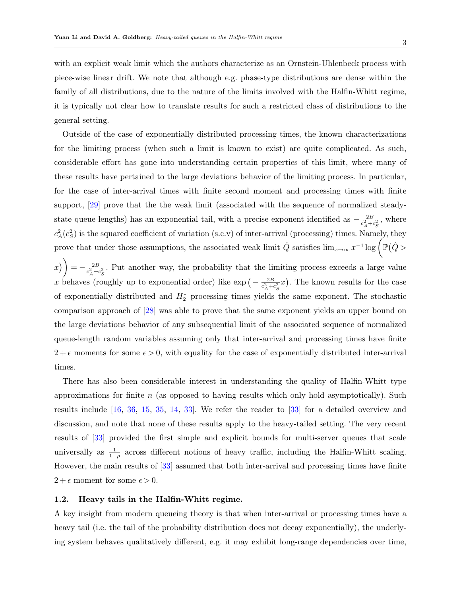with an explicit weak limit which the authors characterize as an Ornstein-Uhlenbeck process with piece-wise linear drift. We note that although e.g. phase-type distributions are dense within the family of all distributions, due to the nature of the limits involved with the Halfin-Whitt regime, it is typically not clear how to translate results for such a restricted class of distributions to the general setting.

Outside of the case of exponentially distributed processing times, the known characterizations for the limiting process (when such a limit is known to exist) are quite complicated. As such, considerable effort has gone into understanding certain properties of this limit, where many of these results have pertained to the large deviations behavior of the limiting process. In particular, for the case of inter-arrival times with finite second moment and processing times with finite support, [\[29\]](#page-31-4) prove that the the weak limit (associated with the sequence of normalized steadystate queue lengths) has an exponential tail, with a precise exponent identified as  $-\frac{2B}{c^2+1}$  $\frac{2B}{c_A^2+c_S^2}$ , where  $c_A^2(c_S^2)$  is the squared coefficient of variation (s.c.v) of inter-arrival (processing) times. Namely, they prove that under those assumptions, the associated weak limit  $\hat{Q}$  satisfies  $\lim_{x\to\infty} x^{-1} \log \left( \mathbb{P}(\hat{Q} >$ 

 $x$ ) =  $-\frac{2B}{c^2+1}$  $\frac{2B}{c_A^2+c_S^2}$ . Put another way, the probability that the limiting process exceeds a large value x behaves (roughly up to exponential order) like  $\exp(-\frac{2B}{c^2+1})$  $\frac{2B}{c_A^2+c_S^2}x$ ). The known results for the case of exponentially distributed and  $H_2^*$  processing times yields the same exponent. The stochastic comparison approach of [\[28\]](#page-31-0) was able to prove that the same exponent yields an upper bound on the large deviations behavior of any subsequential limit of the associated sequence of normalized queue-length random variables assuming only that inter-arrival and processing times have finite  $2 + \epsilon$  moments for some  $\epsilon > 0$ , with equality for the case of exponentially distributed inter-arrival times.

There has also been considerable interest in understanding the quality of Halfin-Whitt type approximations for finite  $n$  (as opposed to having results which only hold asymptotically). Such results include [\[16,](#page-30-2) [36,](#page-32-5) [15,](#page-30-3) [35,](#page-31-6) [14,](#page-30-4) [33\]](#page-31-1). We refer the reader to [\[33\]](#page-31-1) for a detailed overview and discussion, and note that none of these results apply to the heavy-tailed setting. The very recent results of [\[33\]](#page-31-1) provided the first simple and explicit bounds for multi-server queues that scale universally as  $\frac{1}{1-\rho}$  across different notions of heavy traffic, including the Halfin-Whitt scaling. However, the main results of [\[33\]](#page-31-1) assumed that both inter-arrival and processing times have finite  $2 + \epsilon$  moment for some  $\epsilon > 0$ .

#### 1.2. Heavy tails in the Halfin-Whitt regime.

A key insight from modern queueing theory is that when inter-arrival or processing times have a heavy tail (i.e. the tail of the probability distribution does not decay exponentially), the underlying system behaves qualitatively different, e.g. it may exhibit long-range dependencies over time,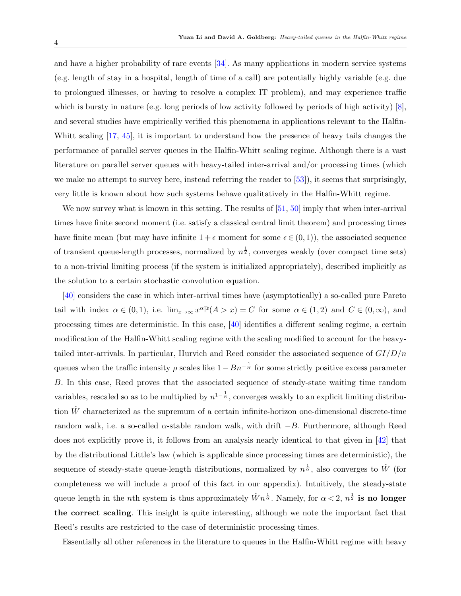and have a higher probability of rare events [\[34\]](#page-31-7). As many applications in modern service systems (e.g. length of stay in a hospital, length of time of a call) are potentially highly variable (e.g. due to prolongued illnesses, or having to resolve a complex IT problem), and may experience traffic which is bursty in nature (e.g. long periods of low activity followed by periods of high activity) [\[8\]](#page-30-5), and several studies have empirically verified this phenomena in applications relevant to the Halfin-Whitt scaling  $[17, 45]$  $[17, 45]$ , it is important to understand how the presence of heavy tails changes the performance of parallel server queues in the Halfin-Whitt scaling regime. Although there is a vast literature on parallel server queues with heavy-tailed inter-arrival and/or processing times (which we make no attempt to survey here, instead referring the reader to [\[53\]](#page-32-7)), it seems that surprisingly, very little is known about how such systems behave qualitatively in the Halfin-Whitt regime.

We now survey what is known in this setting. The results of  $[51, 50]$  $[51, 50]$  imply that when inter-arrival times have finite second moment (i.e. satisfy a classical central limit theorem) and processing times have finite mean (but may have infinite  $1 + \epsilon$  moment for some  $\epsilon \in (0,1)$ ), the associated sequence of transient queue-length processes, normalized by  $n^{\frac{1}{2}}$ , converges weakly (over compact time sets) to a non-trivial limiting process (if the system is initialized appropriately), described implicitly as the solution to a certain stochastic convolution equation.

[\[40\]](#page-32-0) considers the case in which inter-arrival times have (asymptotically) a so-called pure Pareto tail with index  $\alpha \in (0,1)$ , i.e.  $\lim_{x\to\infty} x^{\alpha} \mathbb{P}(A > x) = C$  for some  $\alpha \in (1,2)$  and  $C \in (0,\infty)$ , and processing times are deterministic. In this case, [\[40\]](#page-32-0) identifies a different scaling regime, a certain modification of the Halfin-Whitt scaling regime with the scaling modified to account for the heavytailed inter-arrivals. In particular, Hurvich and Reed consider the associated sequence of  $GI/D/n$ queues when the traffic intensity  $\rho$  scales like  $1 - Bn^{-\frac{1}{\alpha}}$  for some strictly positive excess parameter B. In this case, Reed proves that the associated sequence of steady-state waiting time random variables, rescaled so as to be multiplied by  $n^{1-\frac{1}{\alpha}}$ , converges weakly to an explicit limiting distribution  $\hat{W}$  characterized as the supremum of a certain infinite-horizon one-dimensional discrete-time random walk, i.e. a so-called  $\alpha$ -stable random walk, with drift  $-B$ . Furthermore, although Reed does not explicitly prove it, it follows from an analysis nearly identical to that given in [\[42\]](#page-32-8) that by the distributional Little's law (which is applicable since processing times are deterministic), the sequence of steady-state queue-length distributions, normalized by  $n^{\frac{1}{\alpha}}$ , also converges to  $\hat{W}$  (for completeness we will include a proof of this fact in our appendix). Intuitively, the steady-state queue length in the *n*th system is thus approximately  $\hat{W}n^{\frac{1}{\alpha}}$ . Namely, for  $\alpha < 2$ ,  $n^{\frac{1}{2}}$  is no longer the correct scaling. This insight is quite interesting, although we note the important fact that Reed's results are restricted to the case of deterministic processing times.

Essentially all other references in the literature to queues in the Halfin-Whitt regime with heavy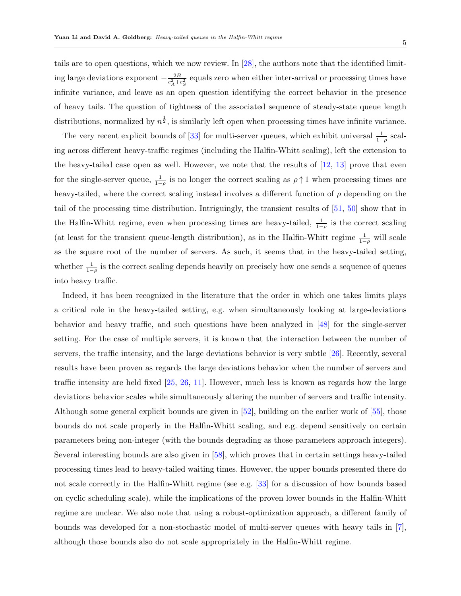tails are to open questions, which we now review. In [\[28\]](#page-31-0), the authors note that the identified limiting large deviations exponent  $-\frac{2B}{a^2+1}$  $\frac{2B}{c_A^2+c_S^2}$  equals zero when either inter-arrival or processing times have infinite variance, and leave as an open question identifying the correct behavior in the presence of heavy tails. The question of tightness of the associated sequence of steady-state queue length distributions, normalized by  $n^{\frac{1}{2}}$ , is similarly left open when processing times have infinite variance.

The very recent explicit bounds of [\[33\]](#page-31-1) for multi-server queues, which exhibit universal  $\frac{1}{1-\rho}$  scaling across different heavy-traffic regimes (including the Halfin-Whitt scaling), left the extension to the heavy-tailed case open as well. However, we note that the results of  $[12, 13]$  $[12, 13]$  prove that even for the single-server queue,  $\frac{1}{1-\rho}$  is no longer the correct scaling as  $\rho \uparrow 1$  when processing times are heavy-tailed, where the correct scaling instead involves a different function of  $\rho$  depending on the tail of the processing time distribution. Intriguingly, the transient results of [\[51,](#page-32-3) [50\]](#page-32-4) show that in the Halfin-Whitt regime, even when processing times are heavy-tailed,  $\frac{1}{1-\rho}$  is the correct scaling (at least for the transient queue-length distribution), as in the Halfin-Whitt regime  $\frac{1}{1-\rho}$  will scale as the square root of the number of servers. As such, it seems that in the heavy-tailed setting, whether  $\frac{1}{1-\rho}$  is the correct scaling depends heavily on precisely how one sends a sequence of queues into heavy traffic.

Indeed, it has been recognized in the literature that the order in which one takes limits plays a critical role in the heavy-tailed setting, e.g. when simultaneously looking at large-deviations behavior and heavy traffic, and such questions have been analyzed in [\[48\]](#page-32-9) for the single-server setting. For the case of multiple servers, it is known that the interaction between the number of servers, the traffic intensity, and the large deviations behavior is very subtle [\[26\]](#page-31-8). Recently, several results have been proven as regards the large deviations behavior when the number of servers and traffic intensity are held fixed [\[25,](#page-31-9) [26,](#page-31-8) [11\]](#page-30-9). However, much less is known as regards how the large deviations behavior scales while simultaneously altering the number of servers and traffic intensity. Although some general explicit bounds are given in [\[52\]](#page-32-10), building on the earlier work of [\[55\]](#page-33-0), those bounds do not scale properly in the Halfin-Whitt scaling, and e.g. depend sensitively on certain parameters being non-integer (with the bounds degrading as those parameters approach integers). Several interesting bounds are also given in [\[58\]](#page-33-1), which proves that in certain settings heavy-tailed processing times lead to heavy-tailed waiting times. However, the upper bounds presented there do not scale correctly in the Halfin-Whitt regime (see e.g. [\[33\]](#page-31-1) for a discussion of how bounds based on cyclic scheduling scale), while the implications of the proven lower bounds in the Halfin-Whitt regime are unclear. We also note that using a robust-optimization approach, a different family of bounds was developed for a non-stochastic model of multi-server queues with heavy tails in [\[7\]](#page-30-10), although those bounds also do not scale appropriately in the Halfin-Whitt regime.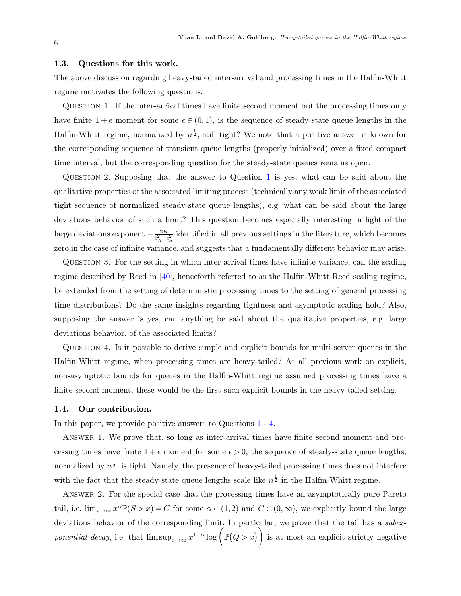#### 1.3. Questions for this work.

<span id="page-5-0"></span>The above discussion regarding heavy-tailed inter-arrival and processing times in the Halfin-Whitt regime motivates the following questions.

QUESTION 1. If the inter-arrival times have finite second moment but the processing times only have finite  $1 + \epsilon$  moment for some  $\epsilon \in (0,1)$ , is the sequence of steady-state queue lengths in the Halfin-Whitt regime, normalized by  $n^{\frac{1}{2}}$ , still tight? We note that a positive answer is known for the corresponding sequence of transient queue lengths (properly initialized) over a fixed compact time interval, but the corresponding question for the steady-state queues remains open.

Question 2. Supposing that the answer to Question [1](#page-5-0) is yes, what can be said about the qualitative properties of the associated limiting process (technically any weak limit of the associated tight sequence of normalized steady-state queue lengths), e.g. what can be said about the large deviations behavior of such a limit? This question becomes especially interesting in light of the large deviations exponent  $-\frac{2B}{c^2+1}$  $\frac{2B}{c_A^2+c_S^2}$  identified in all previous settings in the literature, which becomes zero in the case of infinite variance, and suggests that a fundamentally different behavior may arise.

Question 3. For the setting in which inter-arrival times have infinite variance, can the scaling regime described by Reed in [\[40\]](#page-32-0), henceforth referred to as the Halfin-Whitt-Reed scaling regime, be extended from the setting of deterministic processing times to the setting of general processing time distributions? Do the same insights regarding tightness and asymptotic scaling hold? Also, supposing the answer is yes, can anything be said about the qualitative properties, e.g. large deviations behavior, of the associated limits?

<span id="page-5-1"></span>Question 4. Is it possible to derive simple and explicit bounds for multi-server queues in the Halfin-Whitt regime, when processing times are heavy-tailed? As all previous work on explicit, non-asymptotic bounds for queues in the Halfin-Whitt regime assumed processing times have a finite second moment, these would be the first such explicit bounds in the heavy-tailed setting.

#### <span id="page-5-2"></span>1.4. Our contribution.

In this paper, we provide positive answers to Questions [1](#page-5-0) - [4.](#page-5-1)

Answer 1. We prove that, so long as inter-arrival times have finite second moment and processing times have finite  $1 + \epsilon$  moment for some  $\epsilon > 0$ , the sequence of steady-state queue lengths, normalized by  $n^{\frac{1}{2}}$ , is tight. Namely, the presence of heavy-tailed processing times does not interfere with the fact that the steady-state queue lengths scale like  $n^{\frac{1}{2}}$  in the Halfin-Whitt regime.

<span id="page-5-3"></span>Answer 2. For the special case that the processing times have an asymptotically pure Pareto tail, i.e.  $\lim_{x\to\infty} x^{\alpha} \mathbb{P}(S > x) = C$  for some  $\alpha \in (1,2)$  and  $C \in (0,\infty)$ , we explicitly bound the large deviations behavior of the corresponding limit. In particular, we prove that the tail has a *subex*ponential decay, i.e. that  $\limsup_{x\to\infty} x^{1-\alpha} \log \left( \mathbb{P}(\hat{Q} > x) \right)$  is at most an explicit strictly negative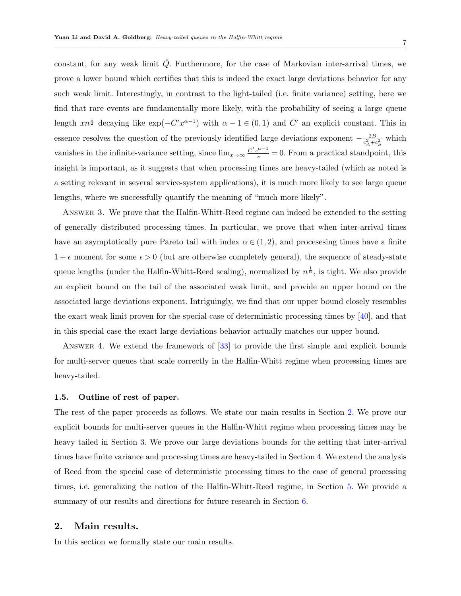constant, for any weak limit  $\hat{Q}$ . Furthermore, for the case of Markovian inter-arrival times, we prove a lower bound which certifies that this is indeed the exact large deviations behavior for any such weak limit. Interestingly, in contrast to the light-tailed (i.e. finite variance) setting, here we find that rare events are fundamentally more likely, with the probability of seeing a large queue length  $xn^{\frac{1}{2}}$  decaying like  $\exp(-C'x^{\alpha-1})$  with  $\alpha-1\in(0,1)$  and  $C'$  an explicit constant. This in essence resolves the question of the previously identified large deviations exponent  $-\frac{2B}{c^2+1}$  $rac{2B}{c_A^2+c_S^2}$  which vanishes in the infinite-variance setting, since  $\lim_{x\to\infty} \frac{C'x^{\alpha-1}}{x} = 0$ . From a practical standpoint, this insight is important, as it suggests that when processing times are heavy-tailed (which as noted is a setting relevant in several service-system applications), it is much more likely to see large queue lengths, where we successfully quantify the meaning of "much more likely".

<span id="page-6-2"></span>Answer 3. We prove that the Halfin-Whitt-Reed regime can indeed be extended to the setting of generally distributed processing times. In particular, we prove that when inter-arrival times have an asymptotically pure Pareto tail with index  $\alpha \in (1,2)$ , and processing times have a finite  $1+\epsilon$  moment for some  $\epsilon > 0$  (but are otherwise completely general), the sequence of steady-state queue lengths (under the Halfin-Whitt-Reed scaling), normalized by  $n^{\frac{1}{\alpha}}$ , is tight. We also provide an explicit bound on the tail of the associated weak limit, and provide an upper bound on the associated large deviations exponent. Intriguingly, we find that our upper bound closely resembles the exact weak limit proven for the special case of deterministic processing times by [\[40\]](#page-32-0), and that in this special case the exact large deviations behavior actually matches our upper bound.

<span id="page-6-1"></span>Answer 4. We extend the framework of [\[33\]](#page-31-1) to provide the first simple and explicit bounds for multi-server queues that scale correctly in the Halfin-Whitt regime when processing times are heavy-tailed.

#### 1.5. Outline of rest of paper.

The rest of the paper proceeds as follows. We state our main results in Section [2.](#page-6-0) We prove our explicit bounds for multi-server queues in the Halfin-Whitt regime when processing times may be heavy tailed in Section [3.](#page-12-0) We prove our large deviations bounds for the setting that inter-arrival times have finite variance and processing times are heavy-tailed in Section [4.](#page-18-0) We extend the analysis of Reed from the special case of deterministic processing times to the case of general processing times, i.e. generalizing the notion of the Halfin-Whitt-Reed regime, in Section [5.](#page-22-0) We provide a summary of our results and directions for future research in Section [6.](#page-24-0)

## <span id="page-6-0"></span>2. Main results.

In this section we formally state our main results.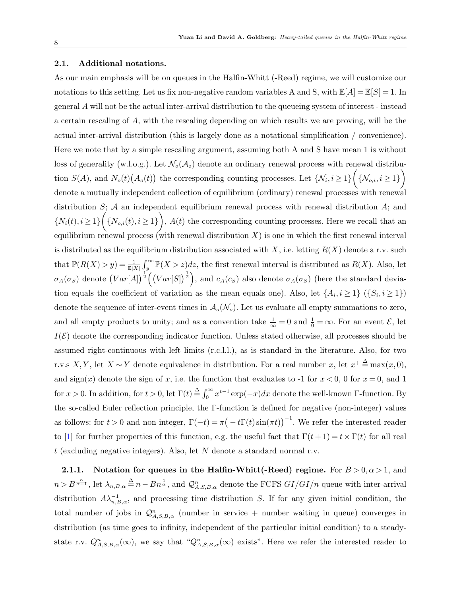#### 2.1. Additional notations.

As our main emphasis will be on queues in the Halfin-Whitt (-Reed) regime, we will customize our notations to this setting. Let us fix non-negative random variables A and S, with  $\mathbb{E}[A] = \mathbb{E}[S] = 1$ . In general A will not be the actual inter-arrival distribution to the queueing system of interest - instead a certain rescaling of A, with the rescaling depending on which results we are proving, will be the actual inter-arrival distribution (this is largely done as a notational simplification / convenience). Here we note that by a simple rescaling argument, assuming both A and S have mean 1 is without loss of generality (w.l.o.g.). Let  $\mathcal{N}_o(\mathcal{A}_o)$  denote an ordinary renewal process with renewal distribution  $S(A)$ , and  $N_o(t)(A_o(t))$  the corresponding counting processes. Let  $\{N_i, i \geq 1\}$   $\left\{\{\mathcal{N}_{o,i}, i \geq 1\}\right\}$ denote a mutually independent collection of equilibrium (ordinary) renewal processes with renewal distribution  $S$ ;  $A$  an independent equilibrium renewal process with renewal distribution  $A$ ; and  ${N_i(t), i \ge 1} \Big\{\{N_{o,i}(t), i \ge 1\}\Big\}, A(t)$  the corresponding counting processes. Here we recall that an equilibrium renewal process (with renewal distribution  $X$ ) is one in which the first renewal interval is distributed as the equilibrium distribution associated with X, i.e. letting  $R(X)$  denote a r.v. such that  $\mathbb{P}(R(X) > y) = \frac{1}{\mathbb{E}[X]} \int_{y}^{\infty} \mathbb{P}(X > z) dz$ , the first renewal interval is distributed as  $R(X)$ . Also, let  $\sigma_A(\sigma_S)$  denote  $(Var[A])^{\frac{1}{2}}((Var[S])^{\frac{1}{2}})$ , and  $c_A(c_S)$  also denote  $\sigma_A(\sigma_S)$  (here the standard deviation equals the coefficient of variation as the mean equals one). Also, let  $\{A_i, i \geq 1\}$  ( $\{S_i, i \geq 1\}$ ) denote the sequence of inter-event times in  $\mathcal{A}_{o}(\mathcal{N}_{o})$ . Let us evaluate all empty summations to zero, and all empty products to unity; and as a convention take  $\frac{1}{\infty} = 0$  and  $\frac{1}{0} = \infty$ . For an event  $\mathcal{E}$ , let  $I(\mathcal{E})$  denote the corresponding indicator function. Unless stated otherwise, all processes should be assumed right-continuous with left limits (r.c.l.l.), as is standard in the literature. Also, for two r.v.s X, Y, let  $X \sim Y$  denote equivalence in distribution. For a real number x, let  $x^+ \stackrel{\Delta}{=} \max(x,0)$ , and  $sign(x)$  denote the sign of x, i.e. the function that evaluates to -1 for  $x < 0$ , 0 for  $x = 0$ , and 1 for  $x > 0$ . In addition, for  $t > 0$ , let  $\Gamma(t) \stackrel{\Delta}{=} \int_0^\infty x^{t-1} \exp(-x) dx$  denote the well-known  $\Gamma$ -function. By the so-called Euler reflection principle, the Γ-function is defined for negative (non-integer) values as follows: for  $t > 0$  and non-integer,  $\Gamma(-t) = \pi(-t\Gamma(t)\sin(\pi t))$ <sup>-1</sup>. We refer the interested reader to [\[1\]](#page-30-11) for further properties of this function, e.g. the useful fact that  $\Gamma(t+1) = t \times \Gamma(t)$  for all real  $t$  (excluding negative integers). Also, let N denote a standard normal r.v.

2.1.1. Notation for queues in the Halfin-Whitt(-Reed) regime. For  $B > 0, \alpha > 1$ , and  $n > B^{\frac{\alpha}{\alpha-1}}$ , let  $\lambda_{n,B,\alpha} \stackrel{\Delta}{=} n - B n^{\frac{1}{\alpha}}$ , and  $\mathcal{Q}_{A,S,B,\alpha}^n$  denote the FCFS  $GI/GI/n$  queue with inter-arrival distribution  $A\lambda_{n,B,\alpha}^{-1}$ , and processing time distribution S. If for any given initial condition, the total number of jobs in  $\mathcal{Q}_{A,S,B,\alpha}^{n}$  (number in service + number waiting in queue) converges in distribution (as time goes to infinity, independent of the particular initial condition) to a steadystate r.v.  $Q_{A,S,B,\alpha}^n(\infty)$ , we say that " $Q_{A,S,B,\alpha}^n(\infty)$  exists". Here we refer the interested reader to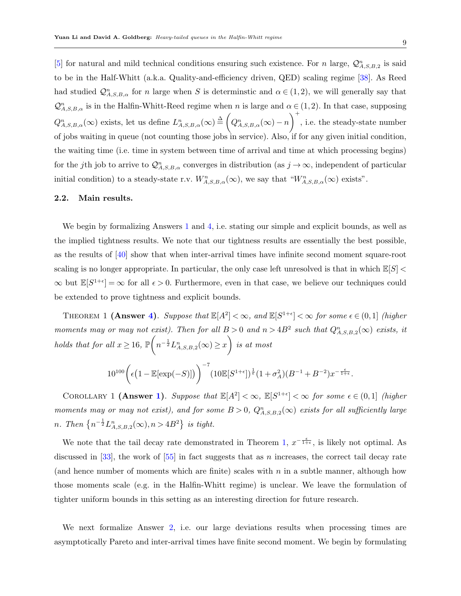[\[5\]](#page-30-12) for natural and mild technical conditions ensuring such existence. For n large,  $\mathcal{Q}_{A,S,B,2}^n$  is said to be in the Half-Whitt (a.k.a. Quality-and-efficiency driven, QED) scaling regime [\[38\]](#page-32-2). As Reed had studied  $\mathcal{Q}_{A,S,B,\alpha}^n$  for n large when S is determinstic and  $\alpha \in (1,2)$ , we will generally say that  $\mathcal{Q}_{A,S,B,\alpha}^n$  is in the Halfin-Whitt-Reed regime when n is large and  $\alpha \in (1,2)$ . In that case, supposing  $Q_{A,S,B,\alpha}^n(\infty)$  exists, let us define  $L_{A,S,B,\alpha}^n(\infty) \stackrel{\Delta}{=} \left(Q_{A,S,B,\alpha}^n(\infty) - n\right)$  $\bigg)$ <sup>+</sup>, i.e. the steady-state number of jobs waiting in queue (not counting those jobs in service). Also, if for any given initial condition, the waiting time (i.e. time in system between time of arrival and time at which processing begins) for the jth job to arrive to  $\mathcal{Q}_{A,S,B,\alpha}^n$  converges in distribution (as  $j \to \infty$ , independent of particular initial condition) to a steady-state r.v.  $W_{A,S,B,\alpha}^n(\infty)$ , we say that  $\sqrt[n]{W_{A,S,B,\alpha}^n}(\infty)$  exists".

#### 2.2. Main results.

We begin by formalizing Answers [1](#page-5-2) and [4,](#page-6-1) i.e. stating our simple and explicit bounds, as well as the implied tightness results. We note that our tightness results are essentially the best possible, as the results of [\[40\]](#page-32-0) show that when inter-arrival times have infinite second moment square-root scaling is no longer appropriate. In particular, the only case left unresolved is that in which  $\mathbb{E}[S]$  <  $\infty$  but  $\mathbb{E}[S^{1+\epsilon}] = \infty$  for all  $\epsilon > 0$ . Furthermore, even in that case, we believe our techniques could be extended to prove tightness and explicit bounds.

THEOREM 1 (Answer [4\)](#page-6-1). Suppose that  $\mathbb{E}[A^2] < \infty$ , and  $\mathbb{E}[S^{1+\epsilon}] < \infty$  for some  $\epsilon \in (0,1]$  (higher moments may or may not exist). Then for all  $B > 0$  and  $n > 4B^2$  such that  $Q_{A,S,B,2}^n(\infty)$  exists, it holds that for all  $x \ge 16$ ,  $\mathbb{P}\left(n^{-\frac{1}{2}}L_{A,S,B,2}^n(\infty) \ge x\right)$  is at most

<span id="page-8-0"></span>
$$
10^{100} \bigg( \epsilon \big(1- \mathbb{E}[\exp(-S)] \big) \bigg)^{-7} (10 \mathbb{E}[S^{1+\epsilon}])^{\frac{1}{\epsilon}} (1+\sigma_A^2) (B^{-1}+B^{-2}) x^{-\frac{\epsilon}{1+\epsilon}}.
$$

<span id="page-8-1"></span>COROLLARY 1 (Answer [1\)](#page-5-2). Suppose that  $\mathbb{E}[A^2] < \infty$ ,  $\mathbb{E}[S^{1+\epsilon}] < \infty$  for some  $\epsilon \in (0,1]$  (higher moments may or may not exist), and for some  $B > 0$ ,  $Q_{A,S,B,2}^n(\infty)$  exists for all sufficiently large n. Then  $\left\{n^{-\frac{1}{2}}L_{A,S,B,2}^n(\infty),n>4B^2\right\}$  is tight.

We note that the tail decay rate demonstrated in Theorem [1,](#page-8-0)  $x^{-\frac{\epsilon}{1+\epsilon}}$ , is likely not optimal. As discussed in  $[33]$ , the work of  $[55]$  in fact suggests that as n increases, the correct tail decay rate (and hence number of moments which are finite) scales with  $n$  in a subtle manner, although how those moments scale (e.g. in the Halfin-Whitt regime) is unclear. We leave the formulation of tighter uniform bounds in this setting as an interesting direction for future research.

We next formalize Answer [2,](#page-5-3) i.e. our large deviations results when processing times are asymptotically Pareto and inter-arrival times have finite second moment. We begin by formulating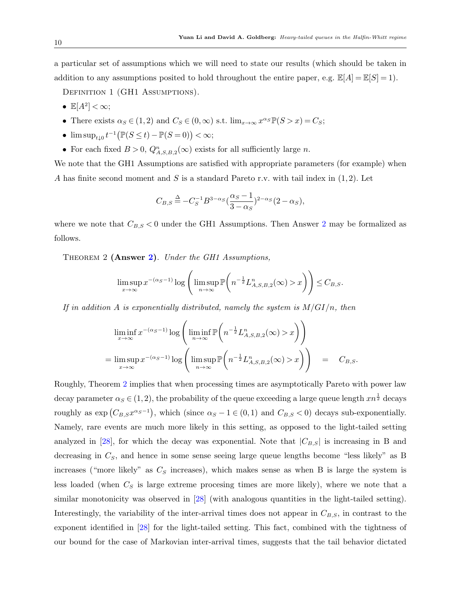a particular set of assumptions which we will need to state our results (which should be taken in addition to any assumptions posited to hold throughout the entire paper, e.g.  $\mathbb{E}[A] = \mathbb{E}[S] = 1$ .

DEFINITION 1 (GH1 ASSUMPTIONS).

- $\mathbb{E}[A^2]<\infty;$
- There exists  $\alpha_S \in (1,2)$  and  $C_S \in (0,\infty)$  s.t.  $\lim_{x\to\infty} x^{\alpha_S} \mathbb{P}(S > x) = C_S$ ;
- $\limsup_{t\downarrow 0} t^{-1} \big( \mathbb{P}(S\leq t)-\mathbb{P}(S=0) \big) < \infty;$
- For each fixed  $B > 0$ ,  $Q_{A,S,B,2}^n(\infty)$  exists for all sufficiently large *n*.

We note that the GH1 Assumptions are satisfied with appropriate parameters (for example) when A has finite second moment and S is a standard Pareto r.v. with tail index in  $(1, 2)$ . Let

$$
C_{B,S} \stackrel{\Delta}{=} -C_S^{-1} B^{3-\alpha_S} \left(\frac{\alpha_S - 1}{3 - \alpha_S}\right)^{2-\alpha_S} (2 - \alpha_S),
$$

<span id="page-9-0"></span>where we note that  $C_{B,S}$  < 0 under the GH1 Assumptions. Then Answer [2](#page-5-3) may be formalized as follows.

THEOREM 2 (Answer [2\)](#page-5-3). Under the GH1 Assumptions,

$$
\limsup_{x \to \infty} x^{-(\alpha_S - 1)} \log \left( \limsup_{n \to \infty} \mathbb{P}\left( n^{-\frac{1}{2}} L_{A,S,B,2}^n(\infty) > x \right) \right) \leq C_{B,S}.
$$

If in addition A is exponentially distributed, namely the system is  $M/GI/n$ , then

$$
\liminf_{x \to \infty} x^{-(\alpha_S - 1)} \log \left( \liminf_{n \to \infty} \mathbb{P}\left( n^{-\frac{1}{2}} L_{A,S,B,2}^n(\infty) > x \right) \right)
$$
\n
$$
= \limsup_{x \to \infty} x^{-(\alpha_S - 1)} \log \left( \limsup_{n \to \infty} \mathbb{P}\left( n^{-\frac{1}{2}} L_{A,S,B,2}^n(\infty) > x \right) \right) = C_{B,S}.
$$

Roughly, Theorem [2](#page-9-0) implies that when processing times are asymptotically Pareto with power law decay parameter  $\alpha_S \in (1,2)$ , the probability of the queue exceeding a large queue length  $xn^{\frac{1}{2}}$  decays roughly as  $\exp(C_{B,S}x^{\alpha_S-1})$ , which (since  $\alpha_S - 1 \in (0,1)$  and  $C_{B,S} < 0$ ) decays sub-exponentially. Namely, rare events are much more likely in this setting, as opposed to the light-tailed setting analyzed in [\[28\]](#page-31-0), for which the decay was exponential. Note that  $|C_{B,S}|$  is increasing in B and decreasing in  $C_s$ , and hence in some sense seeing large queue lengths become "less likely" as B increases ("more likely" as  $C<sub>S</sub>$  increases), which makes sense as when B is large the system is less loaded (when  $C_S$  is large extreme procesing times are more likely), where we note that a similar monotonicity was observed in [\[28\]](#page-31-0) (with analogous quantities in the light-tailed setting). Interestingly, the variability of the inter-arrival times does not appear in  $C_{B,S}$ , in contrast to the exponent identified in [\[28\]](#page-31-0) for the light-tailed setting. This fact, combined with the tightness of our bound for the case of Markovian inter-arrival times, suggests that the tail behavior dictated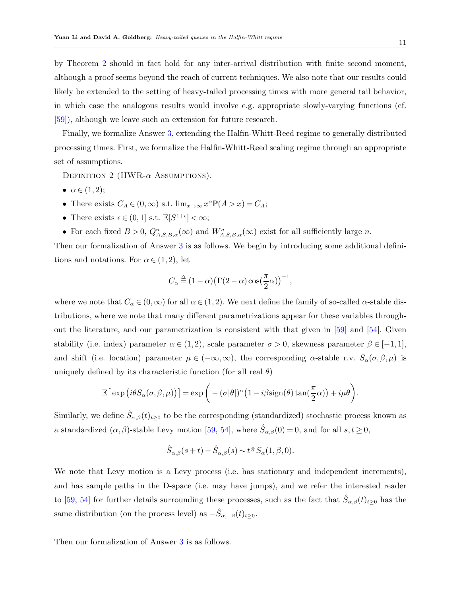by Theorem [2](#page-9-0) should in fact hold for any inter-arrival distribution with finite second moment, although a proof seems beyond the reach of current techniques. We also note that our results could likely be extended to the setting of heavy-tailed processing times with more general tail behavior, in which case the analogous results would involve e.g. appropriate slowly-varying functions (cf. [\[59\]](#page-33-2)), although we leave such an extension for future research.

Finally, we formalize Answer [3,](#page-6-2) extending the Halfin-Whitt-Reed regime to generally distributed processing times. First, we formalize the Halfin-Whitt-Reed scaling regime through an appropriate set of assumptions.

DEFINITION 2 (HWR- $\alpha$  Assumptions).

- $\bullet \ \alpha \in (1,2);$
- There exists  $C_A \in (0, \infty)$  s.t.  $\lim_{x \to \infty} x^{\alpha} \mathbb{P}(A > x) = C_A$ ;
- There exists  $\epsilon \in (0,1]$  s.t.  $\mathbb{E}[S^{1+\epsilon}] < \infty;$
- For each fixed  $B > 0$ ,  $Q_{A,S,B,\alpha}^n(\infty)$  and  $W_{A,S,B,\alpha}^n(\infty)$  exist for all sufficiently large n.

Then our formalization of Answer [3](#page-6-2) is as follows. We begin by introducing some additional definitions and notations. For  $\alpha \in (1, 2)$ , let

$$
C_{\alpha} \stackrel{\Delta}{=} (1 - \alpha) \big(\Gamma(2 - \alpha) \cos\left(\frac{\pi}{2}\alpha\right)\big)^{-1},
$$

where we note that  $C_{\alpha} \in (0,\infty)$  for all  $\alpha \in (1,2)$ . We next define the family of so-called  $\alpha$ -stable distributions, where we note that many different parametrizations appear for these variables throughout the literature, and our parametrization is consistent with that given in [\[59\]](#page-33-2) and [\[54\]](#page-33-3). Given stability (i.e. index) parameter  $\alpha \in (1,2)$ , scale parameter  $\sigma > 0$ , skewness parameter  $\beta \in [-1,1]$ , and shift (i.e. location) parameter  $\mu \in (-\infty, \infty)$ , the corresponding  $\alpha$ -stable r.v.  $S_{\alpha}(\sigma, \beta, \mu)$  is uniquely defined by its characteristic function (for all real  $\theta$ )

$$
\mathbb{E}\big[\exp\big(i\theta S_{\alpha}(\sigma,\beta,\mu)\big)\big]=\exp\bigg(-(\sigma|\theta|)^{\alpha}\big(1-i\beta\mathrm{sign}(\theta)\tan(\frac{\pi}{2}\alpha)\big)+i\mu\theta\bigg).
$$

Similarly, we define  $\hat{S}_{\alpha,\beta}(t)_{t\geq0}$  to be the corresponding (standardized) stochastic process known as a standardized  $(\alpha, \beta)$ -stable Levy motion [\[59,](#page-33-2) [54\]](#page-33-3), where  $\hat{S}_{\alpha,\beta}(0) = 0$ , and for all  $s, t \ge 0$ ,

$$
\hat{S}_{\alpha,\beta}(s+t) - \hat{S}_{\alpha,\beta}(s) \sim t^{\frac{1}{\alpha}} S_{\alpha}(1,\beta,0).
$$

We note that Levy motion is a Levy process (i.e. has stationary and independent increments), and has sample paths in the D-space (i.e. may have jumps), and we refer the interested reader to [\[59,](#page-33-2) [54\]](#page-33-3) for further details surrounding these processes, such as the fact that  $\hat{S}_{\alpha,\beta}(t)_{t\geq0}$  has the same distribution (on the process level) as  $-\hat{S}_{\alpha,-\beta}(t)_{t\geq 0}$ .

<span id="page-10-0"></span>Then our formalization of Answer [3](#page-6-2) is as follows.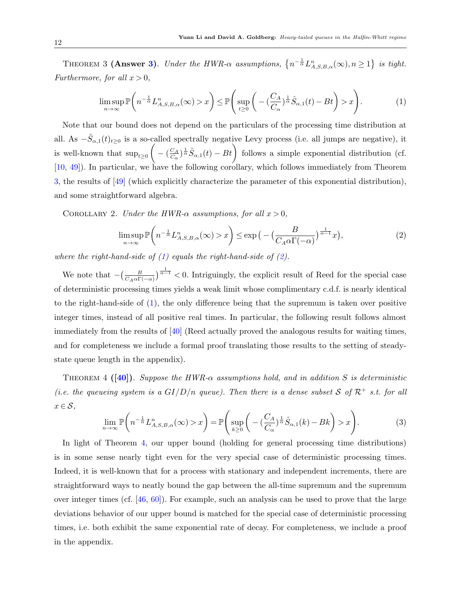THEOREM 3 (Answer [3\)](#page-6-2). Under the HWR- $\alpha$  assumptions,  $\{n^{-\frac{1}{\alpha}}L_{A,S,B,\alpha}^{n}(\infty), n\geq 1\}$  is tight. Furthermore, for all  $x > 0$ ,

<span id="page-11-0"></span>
$$
\limsup_{n \to \infty} \mathbb{P}\left(n^{-\frac{1}{\alpha}} L_{A,S,B,\alpha}^n(\infty) > x\right) \le \mathbb{P}\left(\sup_{t \ge 0} \left(-\left(\frac{C_A}{C_\alpha}\right)^{\frac{1}{\alpha}} \hat{S}_{\alpha,1}(t) - Bt\right) > x\right). \tag{1}
$$

Note that our bound does not depend on the particulars of the processing time distribution at all. As  $-\hat{S}_{\alpha,1}(t)_{t\geq0}$  is a so-called spectrally negative Levy process (i.e. all jumps are negative), it is well-known that  $\sup_{t\geq 0} \left( - \left( \frac{C_A}{C_{\alpha}} \right)$  $\frac{C_A}{C_{\alpha}}$  =  $\hat{S}_{\alpha,1}(t) - B_t$  follows a simple exponential distribution (cf. [\[10,](#page-30-13) [49\]](#page-32-11)). In particular, we have the following corollary, which follows immediately from Theorem [3,](#page-10-0) the results of [\[49\]](#page-32-11) (which explicitly characterize the parameter of this exponential distribution), and some straightforward algebra.

<span id="page-11-4"></span>COROLLARY 2. Under the HWR- $\alpha$  assumptions, for all  $x > 0$ ,

<span id="page-11-1"></span>
$$
\limsup_{n \to \infty} \mathbb{P}\left(n^{-\frac{1}{\alpha}} L_{A,S,B,\alpha}^n(\infty) > x\right) \le \exp\left(-\left(\frac{B}{C_A \alpha \Gamma(-\alpha)}\right)^{\frac{1}{\alpha-1}} x\right),\tag{2}
$$

where the right-hand-side of  $(1)$  equals the right-hand-side of  $(2)$ .

We note that  $-\left(\frac{B}{C_A\alpha\Gamma(-\alpha)}\right)^{\frac{1}{\alpha-1}}$  < 0. Intriguingly, the explicit result of Reed for the special case of deterministic processing times yields a weak limit whose complimentary c.d.f. is nearly identical to the right-hand-side of [\(1\)](#page-11-0), the only difference being that the supremum is taken over positive integer times, instead of all positive real times. In particular, the following result follows almost immediately from the results of [\[40\]](#page-32-0) (Reed actually proved the analogous results for waiting times, and for completeness we include a formal proof translating those results to the setting of steadystate queue length in the appendix).

<span id="page-11-2"></span>THEOREM 4 ([\[40\]](#page-32-0)). Suppose the HWR- $\alpha$  assumptions hold, and in addition S is deterministic (i.e. the queueing system is a  $GI/D/n$  queue). Then there is a dense subset S of  $\mathcal{R}^+$  s.t. for all  $x \in \mathcal{S}$ ,

$$
\lim_{n \to \infty} \mathbb{P}\left(n^{-\frac{1}{\alpha}} L_{A,S,B,\alpha}^n(\infty) > x\right) = \mathbb{P}\left(\sup_{k \ge 0} \left(-\left(\frac{C_A}{C_\alpha}\right)^{\frac{1}{\alpha}} \hat{S}_{\alpha,1}(k) - Bk\right) > x\right).
$$
\n(3)

<span id="page-11-3"></span>In light of Theorem [4,](#page-11-2) our upper bound (holding for general processing time distributions) is in some sense nearly tight even for the very special case of deterministic processing times. Indeed, it is well-known that for a process with stationary and independent increments, there are straightforward ways to neatly bound the gap between the all-time supremum and the supremum over integer times (cf.  $[46, 60]$  $[46, 60]$ ). For example, such an analysis can be used to prove that the large deviations behavior of our upper bound is matched for the special case of deterministic processing times, i.e. both exhibit the same exponential rate of decay. For completeness, we include a proof in the appendix.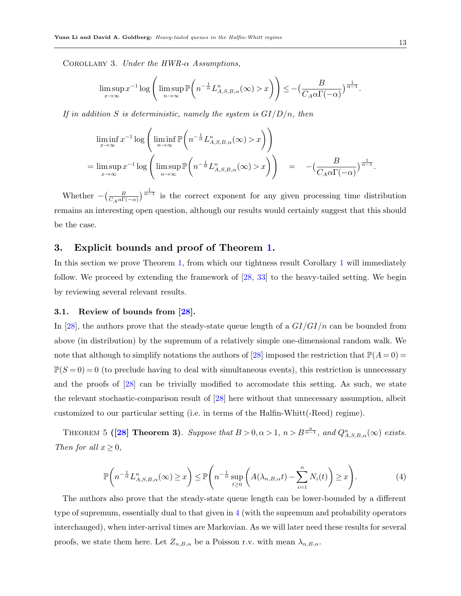COROLLARY 3. Under the HWR- $\alpha$  Assumptions,

$$
\limsup_{x \to \infty} x^{-1} \log \left( \limsup_{n \to \infty} \mathbb{P}\left( n^{-\frac{1}{\alpha}} L_{A,S,B,\alpha}^n(\infty) > x \right) \right) \le -\left( \frac{B}{C_A \alpha \Gamma(-\alpha)} \right)^{\frac{1}{\alpha - 1}}.
$$

If in addition S is deterministic, namely the system is  $GI/D/n$ , then

$$
\liminf_{x \to \infty} x^{-1} \log \left( \liminf_{n \to \infty} \mathbb{P}\left( n^{-\frac{1}{\alpha}} L_{A,S,B,\alpha}^n(\infty) > x \right) \right)
$$
\n
$$
= \limsup_{x \to \infty} x^{-1} \log \left( \limsup_{n \to \infty} \mathbb{P}\left( n^{-\frac{1}{\alpha}} L_{A,S,B,\alpha}^n(\infty) > x \right) \right) = -\left( \frac{B}{C_A \alpha \Gamma(-\alpha)} \right)^{\frac{1}{\alpha - 1}}
$$

Whether  $-\left(\frac{B}{C_A\alpha\Gamma(-\alpha)}\right)^{\frac{1}{\alpha-1}}$  is the correct exponent for any given processing time distribution remains an interesting open question, although our results would certainly suggest that this should be the case.

# <span id="page-12-0"></span>3. Explicit bounds and proof of Theorem [1.](#page-8-0)

In this section we prove Theorem [1,](#page-8-0) from which our tightness result Corollary [1](#page-8-1) will immediately follow. We proceed by extending the framework of [\[28,](#page-31-0) [33\]](#page-31-1) to the heavy-tailed setting. We begin by reviewing several relevant results.

#### 3.1. Review of bounds from [\[28\]](#page-31-0).

In [\[28\]](#page-31-0), the authors prove that the steady-state queue length of a  $GI/GI/n$  can be bounded from above (in distribution) by the supremum of a relatively simple one-dimensional random walk. We note that although to simplify notations the authors of [\[28\]](#page-31-0) imposed the restriction that  $\mathbb{P}(A=0)$  =  $\mathbb{P}(S=0) = 0$  (to preclude having to deal with simultaneous events), this restriction is unnecessary and the proofs of [\[28\]](#page-31-0) can be trivially modified to accomodate this setting. As such, we state the relevant stochastic-comparison result of [\[28\]](#page-31-0) here without that unnecessary assumption, albeit customized to our particular setting (i.e. in terms of the Halfin-Whitt(-Reed) regime).

<span id="page-12-2"></span>THEOREM 5 ([\[28\]](#page-31-0) Theorem 3). Suppose that  $B > 0, \alpha > 1, n > B^{\frac{\alpha}{\alpha-1}},$  and  $Q_{A,S,B,\alpha}^n(\infty)$  exists. Then for all  $x \geq 0$ ,

<span id="page-12-3"></span><span id="page-12-1"></span>
$$
\mathbb{P}\left(n^{-\frac{1}{\alpha}}L_{A,S,B,\alpha}^{n}(\infty)\geq x\right)\leq \mathbb{P}\left(n^{-\frac{1}{\alpha}}\sup_{t\geq 0}\left(A(\lambda_{n,B,\alpha}t)-\sum_{i=1}^{n}N_{i}(t)\right)\geq x\right).
$$
\n(4)

The authors also prove that the steady-state queue length can be lower-bounded by a different type of supremum, essentially dual to that given in [4](#page-12-1) (with the supremum and probability operators interchanged), when inter-arrival times are Markovian. As we will later need these results for several proofs, we state them here. Let  $Z_{n,B,\alpha}$  be a Poisson r.v. with mean  $\lambda_{n,B,\alpha}$ .

.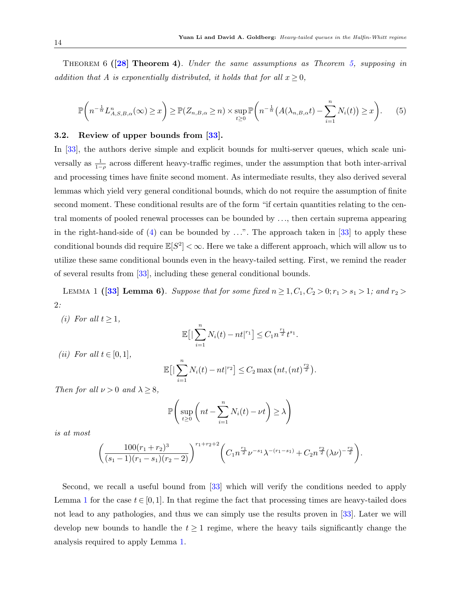THEOREM 6 ( $[28]$  Theorem 4). Under the same assumptions as Theorem [5,](#page-12-2) supposing in addition that A is exponentially distributed, it holds that for all  $x \geq 0$ ,

$$
\mathbb{P}\left(n^{-\frac{1}{\alpha}}L_{A,S,B,\alpha}^n(\infty)\geq x\right)\geq \mathbb{P}(Z_{n,B,\alpha}\geq n)\times \sup_{t\geq 0}\mathbb{P}\left(n^{-\frac{1}{\alpha}}\left(A(\lambda_{n,B,\alpha}t)-\sum_{i=1}^n N_i(t)\right)\geq x\right).
$$
 (5)

#### 3.2. Review of upper bounds from [\[33\]](#page-31-1).

In [\[33\]](#page-31-1), the authors derive simple and explicit bounds for multi-server queues, which scale universally as  $\frac{1}{1-\rho}$  across different heavy-traffic regimes, under the assumption that both inter-arrival and processing times have finite second moment. As intermediate results, they also derived several lemmas which yield very general conditional bounds, which do not require the assumption of finite second moment. These conditional results are of the form "if certain quantities relating to the central moments of pooled renewal processes can be bounded by ..., then certain suprema appearing in the right-hand-side of  $(4)$  can be bounded by ...". The approach taken in [\[33\]](#page-31-1) to apply these conditional bounds did require  $\mathbb{E}[S^2] < \infty$ . Here we take a different approach, which will allow us to utilize these same conditional bounds even in the heavy-tailed setting. First, we remind the reader of several results from [\[33\]](#page-31-1), including these general conditional bounds.

<span id="page-13-0"></span>LEMMA 1 ([\[33\]](#page-31-1) Lemma 6). Suppose that for some fixed  $n \geq 1, C_1, C_2 > 0; r_1 > s_1 > 1$ ; and  $r_2 >$ 2:

(i) For all  $t > 1$ ,

$$
\mathbb{E}\big[\big|\sum_{i=1}^n N_i(t) - nt\big|^{r_1}\big] \leq C_1 n^{\frac{r_1}{2}} t^{s_1}.
$$

(ii) For all  $t \in [0,1]$ ,

$$
\mathbb{E}\big[\big|\sum_{i=1}^n N_i(t)-nt\big|^{r_2}\big]\leq C_2 \max\big(nt,(nt)^{\frac{r_2}{2}}\big).
$$

Then for all  $\nu > 0$  and  $\lambda > 8$ ,

$$
\mathbb{P}\left(\sup_{t\geq 0} \left(nt - \sum_{i=1}^n N_i(t) - \nu t\right) \geq \lambda\right)
$$

is at most

<span id="page-13-1"></span>
$$
\left(\frac{100(r_1+r_2)^3}{(s_1-1)(r_1-s_1)(r_2-2)}\right)^{r_1+r_2+2} \left(C_1 n^{\frac{r_1}{2}} \nu^{-s_1} \lambda^{-(r_1-s_1)} + C_2 n^{\frac{r_2}{2}} (\lambda \nu)^{-\frac{r_2}{2}}\right).
$$

Second, we recall a useful bound from [\[33\]](#page-31-1) which will verify the conditions needed to apply Lemma [1](#page-13-0) for the case  $t \in [0,1]$ . In that regime the fact that processing times are heavy-tailed does not lead to any pathologies, and thus we can simply use the results proven in [\[33\]](#page-31-1). Later we will develop new bounds to handle the  $t \geq 1$  regime, where the heavy tails significantly change the analysis required to apply Lemma [1.](#page-13-0)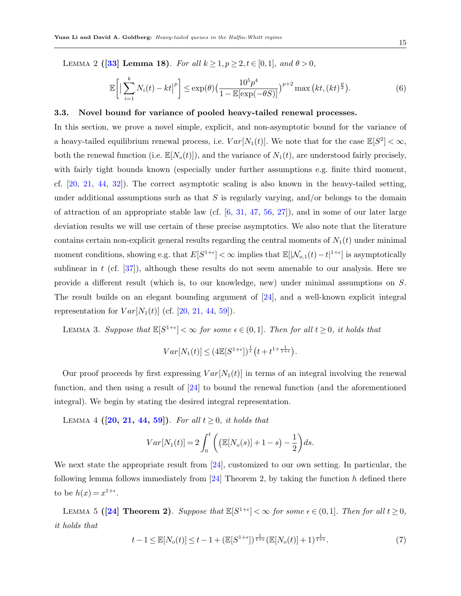LEMMA 2 ([\[33\]](#page-31-1) Lemma 18). For all  $k \ge 1, p \ge 2, t \in [0,1],$  and  $\theta > 0$ ,

$$
\mathbb{E}\bigg[\big|\sum_{i=1}^k N_i(t) - kt\big|^p\bigg] \le \exp(\theta) \big(\frac{10^5 p^4}{1 - \mathbb{E}[\exp(-\theta S)]}\big)^{p+2} \max\big(kt, (kt)^{\frac{p}{2}}\big).
$$
 (6)

#### 3.3. Novel bound for variance of pooled heavy-tailed renewal processes.

In this section, we prove a novel simple, explicit, and non-asymptotic bound for the variance of a heavy-tailed equilibrium renewal process, i.e.  $Var[N_1(t)]$ . We note that for the case  $\mathbb{E}[S^2] < \infty$ , both the renewal function (i.e.  $\mathbb{E}[N_o(t)]$ ), and the variance of  $N_1(t)$ , are understood fairly precisely, with fairly tight bounds known (especially under further assumptions e.g. finite third moment, cf. [\[20,](#page-31-10) [21,](#page-31-11) [44,](#page-32-13) [32\]](#page-31-3)). The correct asymptotic scaling is also known in the heavy-tailed setting, under additional assumptions such as that  $S$  is regularly varying, and/or belongs to the domain of attraction of an appropriate stable law (cf.  $[6, 31, 47, 56, 27]$  $[6, 31, 47, 56, 27]$  $[6, 31, 47, 56, 27]$  $[6, 31, 47, 56, 27]$  $[6, 31, 47, 56, 27]$  $[6, 31, 47, 56, 27]$  $[6, 31, 47, 56, 27]$  $[6, 31, 47, 56, 27]$ ), and in some of our later large deviation results we will use certain of these precise asymptotics. We also note that the literature contains certain non-explicit general results regarding the central moments of  $N_1(t)$  under minimal moment conditions, showing e.g. that  $E[S^{1+\epsilon}] < \infty$  implies that  $\mathbb{E}[|\mathcal{N}_{o,1}(t)-t|^{1+\epsilon}]$  is asymptotically sublinear in t (cf.  $[37]$ ), although these results do not seem amenable to our analysis. Here we provide a different result (which is, to our knowledge, new) under minimal assumptions on S. The result builds on an elegant bounding argument of [\[24\]](#page-31-14), and a well-known explicit integral representation for  $Var[N_1(t)]$  (cf. [\[20,](#page-31-10) [21,](#page-31-11) [44,](#page-32-13) [59\]](#page-33-2)).

<span id="page-14-3"></span>LEMMA 3. Suppose that  $\mathbb{E}[S^{1+\epsilon}] < \infty$  for some  $\epsilon \in (0,1]$ . Then for all  $t \geq 0$ , it holds that

<span id="page-14-2"></span>
$$
Var[N_1(t)] \leq (4\mathbb{E}[S^{1+\epsilon}])^{\frac{1}{\epsilon}}\left(t+t^{1+\frac{1}{1+\epsilon}}\right).
$$

Our proof proceeds by first expressing  $Var[N_1(t)]$  in terms of an integral involving the renewal function, and then using a result of [\[24\]](#page-31-14) to bound the renewal function (and the aforementioned integral). We begin by stating the desired integral representation.

LEMMA 4 ([\[20,](#page-31-10) [21,](#page-31-11) [44,](#page-32-13) [59\]](#page-33-2)). For all  $t \geq 0$ , it holds that

$$
Var[N_1(t)] = 2\int_0^t \left( \left( \mathbb{E}[N_o(s)] + 1 - s \right) - \frac{1}{2} \right) ds.
$$

We next state the appropriate result from [\[24\]](#page-31-14), customized to our own setting. In particular, the following lemma follows immediately from [\[24\]](#page-31-14) Theorem 2, by taking the function h defined there to be  $h(x) = x^{1+\epsilon}$ .

LEMMA 5 ([\[24\]](#page-31-14) Theorem 2). Suppose that  $\mathbb{E}[S^{1+\epsilon}] < \infty$  for some  $\epsilon \in (0,1]$ . Then for all  $t \ge 0$ , it holds that

<span id="page-14-1"></span><span id="page-14-0"></span>
$$
t-1 \leq \mathbb{E}[N_o(t)] \leq t-1 + \left(\mathbb{E}[S^{1+\epsilon}]\right)^{\frac{1}{1+\epsilon}} \left(\mathbb{E}[N_o(t)] + 1\right)^{\frac{1}{1+\epsilon}}.
$$
 (7)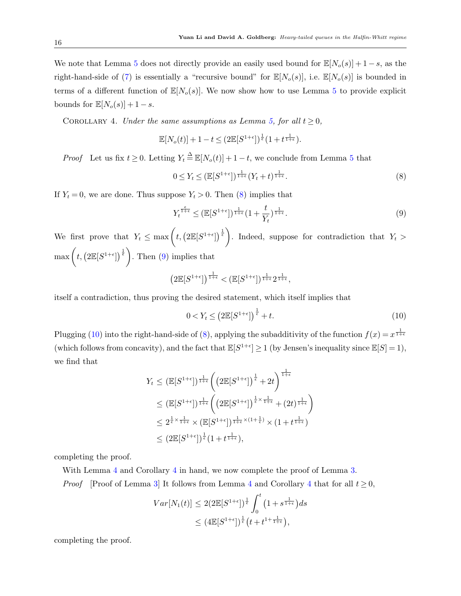We note that Lemma [5](#page-14-0) does not directly provide an easily used bound for  $\mathbb{E}[N_o(s)] + 1 - s$ , as the right-hand-side of [\(7\)](#page-14-1) is essentially a "recursive bound" for  $\mathbb{E}[N_o(s)]$ , i.e.  $\mathbb{E}[N_o(s)]$  is bounded in terms of a different function of  $\mathbb{E}[N_o(s)]$ . We now show how to use Lemma [5](#page-14-0) to provide explicit bounds for  $\mathbb{E}[N_o(s)] + 1 - s$ .

COROLLARY 4. Under the same assumptions as Lemma [5,](#page-14-0) for all  $t \geq 0$ ,

<span id="page-15-3"></span>
$$
\mathbb{E}[N_o(t)] + 1 - t \le (2 \mathbb{E}[S^{1+\epsilon}])^{\frac{1}{\epsilon}} (1 + t^{\frac{1}{1+\epsilon}}).
$$

*Proof* Let us fix  $t \geq 0$ . Letting  $Y_t \triangleq \mathbb{E}[N_o(t)] + 1 - t$ , we conclude from Lemma [5](#page-14-0) that

<span id="page-15-0"></span>
$$
0 \le Y_t \le (\mathbb{E}[S^{1+\epsilon}])^{\frac{1}{1+\epsilon}} (Y_t + t)^{\frac{1}{1+\epsilon}}.
$$
\n
$$
(8)
$$

If  $Y_t = 0$ , we are done. Thus suppose  $Y_t > 0$ . Then [\(8\)](#page-15-0) implies that

<span id="page-15-1"></span>
$$
Y_t^{\frac{\epsilon}{1+\epsilon}} \le (\mathbb{E}[S^{1+\epsilon}])^{\frac{1}{1+\epsilon}} (1+\frac{t}{Y_t})^{\frac{1}{1+\epsilon}}.
$$
\n
$$
(9)
$$

We first prove that  $Y_t \n\t\leq \max\left(t, \left(2\mathbb{E}[S^{1+\epsilon}]\right)^{\frac{1}{\epsilon}}\right)$ . Indeed, suppose for contradiction that  $Y_t >$  $\max\left(t, \left(2\mathbb{E}[S^{1+\epsilon}]\right)^{\frac{1}{\epsilon}}\right)$ . Then [\(9\)](#page-15-1) implies that

$$
\left(2\mathbb{E}[S^{1+\epsilon}]\right)^{\frac{1}{1+\epsilon}} < \left(\mathbb{E}[S^{1+\epsilon}]\right)^{\frac{1}{1+\epsilon}} 2^{\frac{1}{1+\epsilon}},
$$

itself a contradiction, thus proving the desired statement, which itself implies that

<span id="page-15-2"></span>
$$
0 < Y_t \le \left(2\mathbb{E}[S^{1+\epsilon}]\right)^{\frac{1}{\epsilon}} + t. \tag{10}
$$

Plugging [\(10\)](#page-15-2) into the right-hand-side of [\(8\)](#page-15-0), applying the subadditivity of the function  $f(x) = x^{\frac{1}{1+\epsilon}}$ (which follows from concavity), and the fact that  $\mathbb{E}[S^{1+\epsilon}] \ge 1$  (by Jensen's inequality since  $\mathbb{E}[S] = 1$ ), we find that

$$
Y_t \leq (\mathbb{E}[S^{1+\epsilon}])^{\frac{1}{1+\epsilon}} \left( \left(2\mathbb{E}[S^{1+\epsilon}]\right)^{\frac{1}{\epsilon}} + 2t \right)^{\frac{1}{1+\epsilon}}
$$
  
\n
$$
\leq (\mathbb{E}[S^{1+\epsilon}])^{\frac{1}{1+\epsilon}} \left( \left(2\mathbb{E}[S^{1+\epsilon}]\right)^{\frac{1}{\epsilon} \times \frac{1}{1+\epsilon}} + (2t)^{\frac{1}{1+\epsilon}} \right)
$$
  
\n
$$
\leq 2^{\frac{1}{\epsilon} \times \frac{1}{1+\epsilon}} \times (\mathbb{E}[S^{1+\epsilon}])^{\frac{1}{1+\epsilon} \times (1+\frac{1}{\epsilon})} \times (1+t^{\frac{1}{1+\epsilon}})
$$
  
\n
$$
\leq (2\mathbb{E}[S^{1+\epsilon}])^{\frac{1}{\epsilon}} (1+t^{\frac{1}{1+\epsilon}}),
$$

completing the proof.

With Lemma [4](#page-15-3) and Corollary 4 in hand, we now complete the proof of Lemma [3.](#page-14-3)

*Proof* [Proof of Lemma [3\]](#page-14-3) It follows from Lemma [4](#page-15-3) and Corollary 4 that for all  $t \geq 0$ ,

$$
Var[N_1(t)] \le 2(2\mathbb{E}[S^{1+\epsilon}])^{\frac{1}{\epsilon}} \int_0^t \left(1 + s^{\frac{1}{1+\epsilon}}\right) ds
$$
  

$$
\le \left(4\mathbb{E}[S^{1+\epsilon}]\right)^{\frac{1}{\epsilon}} \left(t + t^{1+\frac{1}{1+\epsilon}}\right),
$$

completing the proof.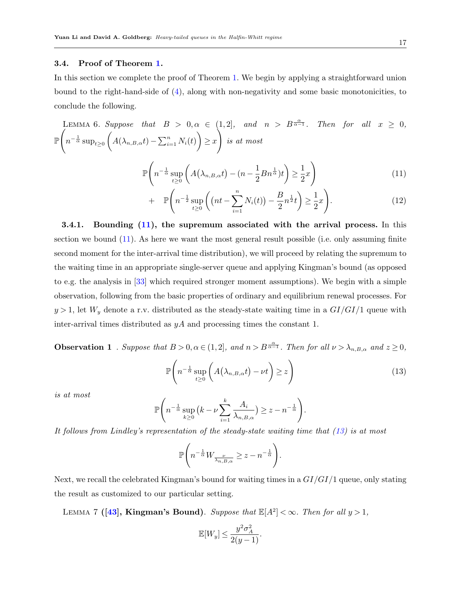#### 3.4. Proof of Theorem [1.](#page-8-0)

<span id="page-16-4"></span>In this section we complete the proof of Theorem [1.](#page-8-0) We begin by applying a straightforward union bound to the right-hand-side of [\(4\)](#page-12-1), along with non-negativity and some basic monotonicities, to conclude the following.

LEMMA 6. Suppose that 
$$
B > 0, \alpha \in (1, 2]
$$
, and  $n > B^{\frac{\alpha}{\alpha - 1}}$ . Then for all  $x \ge 0$ ,  
\n
$$
\mathbb{P}\left(n^{-\frac{1}{\alpha}}\sup_{t\ge0}\left(A(\lambda_{n,B,\alpha}t)-\sum_{i=1}^{n}N_{i}(t)\right)\ge x\right) \text{ is at most}
$$
\n
$$
\mathbb{P}\left(n^{-\frac{1}{\alpha}}\sup_{t\ge0}\left(A(\lambda_{n,B,\alpha}t)-(n-\frac{1}{2}Bn^{\frac{1}{\alpha}})t\right)\ge \frac{1}{2}x\right) \tag{11}
$$

<span id="page-16-0"></span>
$$
+\mathbb{P}\left(n^{-\frac{1}{2}}\sup_{t\geq 0}\left(\left(nt-\sum_{i=1}^{n}N_i(t)\right)-\frac{B}{2}n^{\frac{1}{2}}t\right)\geq \frac{1}{2}x\right).
$$
\n(12)

3.4.1. Bounding [\(11\)](#page-16-0), the supremum associated with the arrival process. In this section we bound [\(11\)](#page-16-0). As here we want the most general result possible (i.e. only assuming finite second moment for the inter-arrival time distribution), we will proceed by relating the supremum to the waiting time in an appropriate single-server queue and applying Kingman's bound (as opposed to e.g. the analysis in [\[33\]](#page-31-1) which required stronger moment assumptions). We begin with a simple observation, following from the basic properties of ordinary and equilibrium renewal processes. For  $y > 1$ , let  $W_y$  denote a r.v. distributed as the steady-state waiting time in a  $GI/GI/1$  queue with inter-arrival times distributed as  $yA$  and processing times the constant 1.

**Observation 1**. Suppose that  $B > 0, \alpha \in (1, 2]$ , and  $n > B^{\frac{\alpha}{\alpha-1}}$ . Then for all  $\nu > \lambda_{n, B, \alpha}$  and  $z \ge 0$ ,

<span id="page-16-2"></span><span id="page-16-1"></span>
$$
\mathbb{P}\left(n^{-\frac{1}{\alpha}}\sup_{t\geq 0}\left(A\left(\lambda_{n,B,\alpha}t\right)-\nu t\right)\geq z\right)
$$
\n(13)

is at most

$$
\mathbb{P}\Bigg(n^{-\frac{1}{\alpha}}\sup_{k\geq 0} \Big(k-\nu\sum_{i=1}^k \frac{A_i}{\lambda_{n,B,\alpha}}\Big)\geq z-n^{-\frac{1}{\alpha}}\Bigg).
$$

It follows from Lindley's representation of the steady-state waiting time that [\(13\)](#page-16-1) is at most

$$
\mathbb{P}\left(n^{-\frac{1}{\alpha}}W_{\frac{\nu}{\lambda_{n,B,\alpha}}}\geq z-n^{-\frac{1}{\alpha}}\right).
$$

Next, we recall the celebrated Kingman's bound for waiting times in a  $GI/GI/1$  queue, only stating the result as customized to our particular setting.

LEMMA 7 ([\[43\]](#page-32-16), Kingman's Bound). Suppose that  $\mathbb{E}[A^2] < \infty$ . Then for all  $y > 1$ ,

<span id="page-16-3"></span>
$$
\mathbb{E}[W_y] \le \frac{y^2 \sigma_A^2}{2(y-1)}.
$$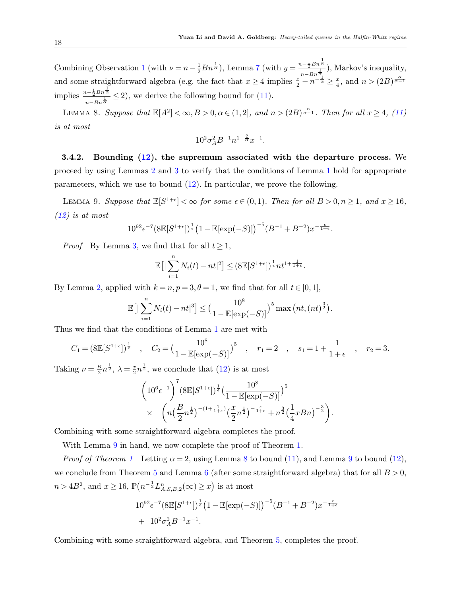Combining Observation [1](#page-16-2) (with  $\nu = n - \frac{1}{2}Bn^{\frac{1}{\alpha}}$ ), Lemma [7](#page-16-3) (with  $y = \frac{n - \frac{1}{2}Bn^{\frac{1}{\alpha}}}{n \alpha^{\frac{1}{\alpha}}}$  $\frac{1}{(n-Bn\frac{1}{\alpha})}$ , Markov's inequality, and some straightforward algebra (e.g. the fact that  $x \ge 4$  implies  $\frac{x}{2} - n^{-\frac{1}{\alpha}} \ge \frac{x}{4}$  $\frac{x}{4}$ , and  $n > (2B)^{\frac{\alpha}{\alpha-1}}$ implies  $\frac{n-\frac{1}{2}Bn^{\frac{1}{\alpha}}}{1}$ 1  $\frac{u-\frac{1}{2}Bn\alpha}{n-Bn^{\frac{1}{\alpha}}}\leq 2$ , we derive the following bound for [\(11\)](#page-16-0).

LEMMA 8. Suppose that  $\mathbb{E}[A^2] < \infty, B > 0, \alpha \in (1, 2],$  and  $n > (2B)^{\frac{\alpha}{\alpha-1}}$ . Then for all  $x \ge 4$ , [\(11\)](#page-16-0) is at most

<span id="page-17-1"></span><span id="page-17-0"></span>
$$
10^2 \sigma_A^2 B^{-1} n^{1-\frac{2}{\alpha}} x^{-1}.
$$

3.4.2. Bounding [\(12\)](#page-16-0), the supremum associated with the departure process. We proceed by using Lemmas [2](#page-13-1) and [3](#page-14-3) to verify that the conditions of Lemma [1](#page-13-0) hold for appropriate parameters, which we use to bound [\(12\)](#page-16-0). In particular, we prove the following.

LEMMA 9. Suppose that  $\mathbb{E}[S^{1+\epsilon}] < \infty$  for some  $\epsilon \in (0,1)$ . Then for all  $B > 0, n \ge 1$ , and  $x \ge 16$ , [\(12\)](#page-16-0) is at most

$$
10^{92} \epsilon^{-7} (8 \mathbb{E}[S^{1+\epsilon}])^{\frac{1}{\epsilon}} (1 - \mathbb{E}[\exp(-S)])^{-5} (B^{-1} + B^{-2}) x^{-\frac{\epsilon}{1+\epsilon}}.
$$

*Proof* By Lemma [3,](#page-14-3) we find that for all  $t \geq 1$ ,

$$
\mathbb{E}\big[\big|\sum_{i=1}^n N_i(t)-nt\big|^2\big]\leq (8\mathbb{E}[S^{1+\epsilon}])^{\frac{1}{\epsilon}}nt^{1+\frac{1}{1+\epsilon}}.
$$

By Lemma [2,](#page-13-1) applied with  $k = n, p = 3, \theta = 1$ , we find that for all  $t \in [0, 1]$ ,

$$
\mathbb{E}\big[\big|\sum_{i=1}^{n} N_i(t) - nt\big|^3\big] \le \big(\frac{10^8}{1 - \mathbb{E}[\exp(-S)]}\big)^5 \max\big(nt, (nt)^{\frac{3}{2}}\big).
$$

Thus we find that the conditions of Lemma [1](#page-13-0) are met with

$$
C_1 = (8\mathbb{E}[S^{1+\epsilon}])^{\frac{1}{\epsilon}}
$$
,  $C_2 = (\frac{10^8}{1 - \mathbb{E}[\exp(-S)]})^5$ ,  $r_1 = 2$ ,  $s_1 = 1 + \frac{1}{1+\epsilon}$ ,  $r_2 = 3$ .

Taking  $\nu = \frac{B}{2}$  $\frac{B}{2}n^{\frac{1}{2}}, \lambda = \frac{x}{2}$  $\frac{x}{2}n^{\frac{1}{2}}$ , we conclude that [\(12\)](#page-16-0) is at most

$$
\left(10^6\epsilon^{-1}\right)^7 (8\mathbb{E}[S^{1+\epsilon}])^{\frac{1}{\epsilon}}\left(\frac{10^8}{1-\mathbb{E}[\exp(-S)]}\right)^5
$$
  
 
$$
\times \left(n\left(\frac{B}{2}n^{\frac{1}{2}}\right)^{-(1+\frac{1}{1+\epsilon})}\left(\frac{x}{2}n^{\frac{1}{2}}\right)^{-\frac{\epsilon}{1+\epsilon}}+n^{\frac{3}{2}}\left(\frac{1}{4}xBn\right)^{-\frac{3}{2}}\right).
$$

Combining with some straightforward algebra completes the proof.

With Lemma [9](#page-17-0) in hand, we now complete the proof of Theorem [1.](#page-8-0)

*Proof of Theorem [1](#page-8-0)* Letting  $\alpha = 2$ , using Lemma [8](#page-17-1) to bound [\(11\)](#page-16-0), and Lemma [9](#page-17-0) to bound [\(12\)](#page-16-0), we conclude from Theorem [5](#page-12-2) and Lemma [6](#page-16-4) (after some straightforward algebra) that for all  $B > 0$ ,  $n > 4B^2$ , and  $x \ge 16$ ,  $\mathbb{P}(n^{-\frac{1}{2}}L^n_{A,S,B,2}(\infty) \ge x)$  is at most

$$
10^{92} \epsilon^{-7} (8\mathbb{E}[S^{1+\epsilon}])^{\frac{1}{\epsilon}} (1 - \mathbb{E}[\exp(-S)])^{-5} (B^{-1} + B^{-2}) x^{-\frac{\epsilon}{1+\epsilon}}
$$
  
+ 10<sup>2</sup>  $\sigma_A^2 B^{-1} x^{-1}$ .

Combining with some straightforward algebra, and Theorem [5,](#page-12-2) completes the proof.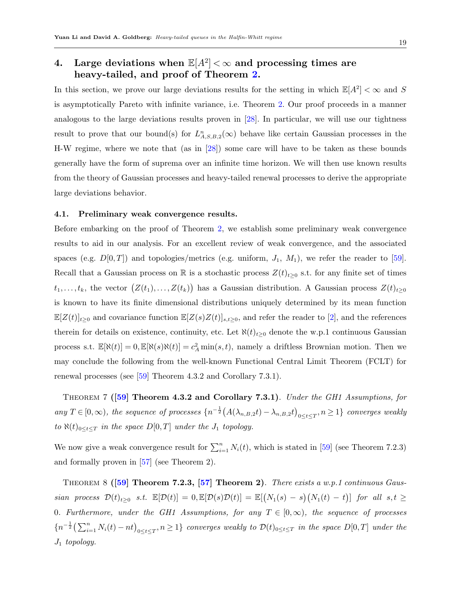# <span id="page-18-0"></span>4. Large deviations when  $\mathbb{E}[A^2]<\infty$  and processing times are heavy-tailed, and proof of Theorem [2.](#page-9-0)

In this section, we prove our large deviations results for the setting in which  $\mathbb{E}[A^2] < \infty$  and S is asymptotically Pareto with infinite variance, i.e. Theorem [2.](#page-9-0) Our proof proceeds in a manner analogous to the large deviations results proven in [\[28\]](#page-31-0). In particular, we will use our tightness result to prove that our bound(s) for  $L_{A,S,B,2}^n(\infty)$  behave like certain Gaussian processes in the H-W regime, where we note that (as in [\[28\]](#page-31-0)) some care will have to be taken as these bounds generally have the form of suprema over an infinite time horizon. We will then use known results from the theory of Gaussian processes and heavy-tailed renewal processes to derive the appropriate large deviations behavior.

#### 4.1. Preliminary weak convergence results.

Before embarking on the proof of Theorem [2,](#page-9-0) we establish some preliminary weak convergence results to aid in our analysis. For an excellent review of weak convergence, and the associated spaces (e.g.  $D[0,T]$ ) and topologies/metrics (e.g. uniform,  $J_1$ ,  $M_1$ ), we refer the reader to [\[59\]](#page-33-2). Recall that a Gaussian process on R is a stochastic process  $Z(t)_{t\geq0}$  s.t. for any finite set of times  $t_1,\ldots,t_k$ , the vector  $(Z(t_1),\ldots,Z(t_k))$  has a Gaussian distribution. A Gaussian process  $Z(t)_{t\geq 0}$ is known to have its finite dimensional distributions uniquely determined by its mean function  $\mathbb{E}[Z(t)]_{t\geq0}$  and covariance function  $\mathbb{E}[Z(s)Z(t)]_{s,t\geq0}$ , and refer the reader to [\[2\]](#page-30-15), and the references therein for details on existence, continuity, etc. Let  $\aleph(t)_{t\geq0}$  denote the w.p.1 continuous Gaussian process s.t.  $\mathbb{E}[\aleph(t)] = 0$ ,  $\mathbb{E}[\aleph(s)\aleph(t)] = c_A^2 \min(s, t)$ , namely a driftless Brownian motion. Then we may conclude the following from the well-known Functional Central Limit Theorem (FCLT) for renewal processes (see [\[59\]](#page-33-2) Theorem 4.3.2 and Corollary 7.3.1).

<span id="page-18-1"></span>THEOREM 7 ( $\overline{59}$ ) Theorem 4.3.2 and Corollary 7.3.1). Under the GH1 Assumptions, for any  $T \in [0,\infty)$ , the sequence of processes  $\{n^{-\frac{1}{2}}(A(\lambda_{n,B,2}t) - \lambda_{n,B,2}t)_{0 \le t \le T}, n \ge 1\}$  converges weakly to  $\aleph(t)_{0\leq t\leq T}$  in the space  $D[0,T]$  under the  $J_1$  topology.

<span id="page-18-2"></span>We now give a weak convergence result for  $\sum_{i=1}^{n} N_i(t)$ , which is stated in [\[59\]](#page-33-2) (see Theorem 7.2.3) and formally proven in [\[57\]](#page-33-6) (see Theorem 2).

THEOREM 8  $([59]$  $([59]$  Theorem 7.2.3, [\[57\]](#page-33-6) Theorem 2). There exists a w.p.1 continuous Gaussian process  $\mathcal{D}(t)_{t\geq 0}$  s.t.  $\mathbb{E}[\mathcal{D}(t)] = 0$ ,  $\mathbb{E}[\mathcal{D}(s)\mathcal{D}(t)] = \mathbb{E}[(N_1(s) - s)(N_1(t) - t)]$  for all  $s, t \geq 0$ 0. Furthermore, under the GH1 Assumptions, for any  $T \in [0, \infty)$ , the sequence of processes  $\{n^{-\frac{1}{2}}\left(\sum_{i=1}^n N_i(t) - nt\right)_{0 \le t \le T}, n \ge 1\}$  converges weakly to  $\mathcal{D}(t)_{0 \le t \le T}$  in the space  $D[0,T]$  under the  $J_1$  topology.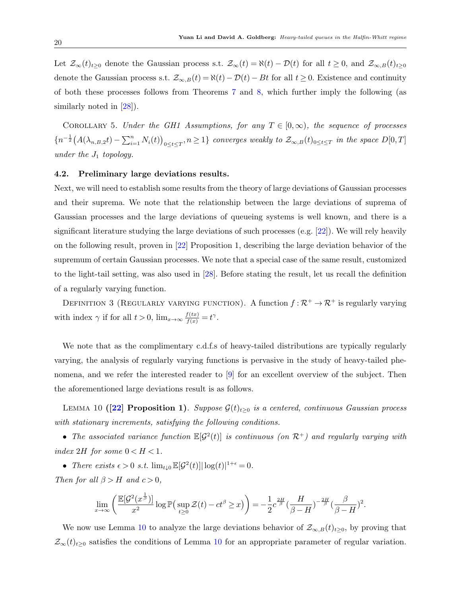Let  $\mathcal{Z}_{\infty}(t)_{t\geq0}$  denote the Gaussian process s.t.  $\mathcal{Z}_{\infty}(t) = \aleph(t) - \mathcal{D}(t)$  for all  $t \geq 0$ , and  $\mathcal{Z}_{\infty,B}(t)_{t\geq0}$ denote the Gaussian process s.t.  $\mathcal{Z}_{\infty,B}(t) = \aleph(t) - \mathcal{D}(t) - Bt$  for all  $t \geq 0$ . Existence and continuity of both these processes follows from Theorems [7](#page-18-1) and [8,](#page-18-2) which further imply the following (as similarly noted in [\[28\]](#page-31-0)).

<span id="page-19-1"></span>COROLLARY 5. Under the GH1 Assumptions, for any  $T \in [0,\infty)$ , the sequence of processes  ${n^{-\frac{1}{2}}(A(\lambda_{n,B,2}t)-\sum_{i=1}^{n}N_i(t))}_{0\leq t\leq T},n\geq 1}$  converges weakly to  $\mathcal{Z}_{\infty,B}(t)_{0\leq t\leq T}$  in the space  $D[0,T]$ under the  $J_1$  topology.

#### 4.2. Preliminary large deviations results.

Next, we will need to establish some results from the theory of large deviations of Gaussian processes and their suprema. We note that the relationship between the large deviations of suprema of Gaussian processes and the large deviations of queueing systems is well known, and there is a significant literature studying the large deviations of such processes (e.g. [\[22\]](#page-31-15)). We will rely heavily on the following result, proven in [\[22\]](#page-31-15) Proposition 1, describing the large deviation behavior of the supremum of certain Gaussian processes. We note that a special case of the same result, customized to the light-tail setting, was also used in [\[28\]](#page-31-0). Before stating the result, let us recall the definition of a regularly varying function.

DEFINITION 3 (REGULARLY VARYING FUNCTION). A function  $f: \mathcal{R}^+ \to \mathcal{R}^+$  is regularly varying with index  $\gamma$  if for all  $t > 0$ ,  $\lim_{x \to \infty} \frac{f(tx)}{f(x)} = t^{\gamma}$ .

We note that as the complimentary c.d.f.s of heavy-tailed distributions are typically regularly varying, the analysis of regularly varying functions is pervasive in the study of heavy-tailed phenomena, and we refer the interested reader to [\[9\]](#page-30-16) for an excellent overview of the subject. Then the aforementioned large deviations result is as follows.

LEMMA 10 ([\[22\]](#page-31-15) Proposition 1). Suppose  $\mathcal{G}(t)_{t\geq0}$  is a centered, continuous Gaussian process with stationary increments, satisfying the following conditions.

• The associated variance function  $\mathbb{E}[\mathcal{G}^2(t)]$  is continuous (on  $\mathcal{R}^+$ ) and regularly varying with index 2H for some  $0 < H < 1$ .

• There exists  $\epsilon > 0$  s.t.  $\lim_{t \downarrow 0} \mathbb{E}[\mathcal{G}^2(t)] |\log(t)|^{1+\epsilon} = 0$ .

Then for all  $\beta > H$  and  $c > 0$ ,

<span id="page-19-0"></span>
$$
\lim_{x\to\infty}\left(\frac{{\mathbb E}[\mathcal G^2(x^{\frac{1}{\beta}})]}{x^2}\log{\mathbb P}\big(\sup_{t\geq 0}\mathcal Z(t)-ct^\beta\geq x\big)\right)=-\frac{1}{2}c^{\frac{2H}{\beta}}\big(\frac{H}{\beta-H}\big)^{-\frac{2H}{\beta}}\big(\frac{\beta}{\beta-H}\big)^2.
$$

We now use Lemma [10](#page-19-0) to analyze the large deviations behavior of  $\mathcal{Z}_{\infty,B}(t)_{t\geq0}$ , by proving that  $\mathcal{Z}_{\infty}(t)_{t\geq0}$  satisfies the conditions of Lemma [10](#page-19-0) for an appropriate parameter of regular variation.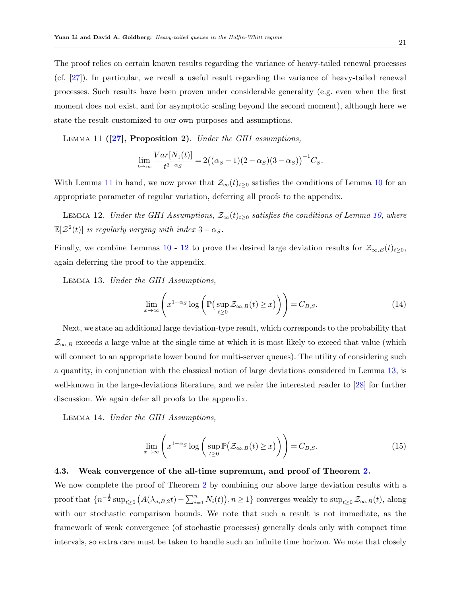The proof relies on certain known results regarding the variance of heavy-tailed renewal processes (cf. [\[27\]](#page-31-13)). In particular, we recall a useful result regarding the variance of heavy-tailed renewal processes. Such results have been proven under considerable generality (e.g. even when the first moment does not exist, and for asymptotic scaling beyond the second moment), although here we state the result customized to our own purposes and assumptions.

LEMMA 11  $(27)$ , Proposition 2). Under the GH1 assumptions,

<span id="page-20-1"></span><span id="page-20-0"></span>
$$
\lim_{t \to \infty} \frac{Var[N_1(t)]}{t^{3-\alpha_S}} = 2((\alpha_S - 1)(2 - \alpha_S)(3 - \alpha_S))^{-1}C_S.
$$

With Lemma [11](#page-20-0) in hand, we now prove that  $\mathcal{Z}_{\infty}(t)_{t\geq0}$  satisfies the conditions of Lemma [10](#page-19-0) for an appropriate parameter of regular variation, deferring all proofs to the appendix.

LEMMA 12. Under the GH1 Assumptions,  $\mathcal{Z}_{\infty}(t)_{t>0}$  satisfies the conditions of Lemma [10,](#page-19-0) where  $\mathbb{E}[\mathcal{Z}^2(t)]$  is regularly varying with index  $3-\alpha_S$ .

Finally, we combine Lemmas [10](#page-19-0) - [12](#page-20-1) to prove the desired large deviation results for  $\mathcal{Z}_{\infty,B}(t)_{t>0}$ , again deferring the proof to the appendix.

<span id="page-20-2"></span>Lemma 13. Under the GH1 Assumptions,

<span id="page-20-4"></span>
$$
\lim_{x \to \infty} \left( x^{1-\alpha_S} \log \left( \mathbb{P} \left( \sup_{t \ge 0} \mathcal{Z}_{\infty, B}(t) \ge x \right) \right) \right) = C_{B, S}.
$$
\n(14)

Next, we state an additional large deviation-type result, which corresponds to the probability that  $\mathcal{Z}_{\infty,B}$  exceeds a large value at the single time at which it is most likely to exceed that value (which will connect to an appropriate lower bound for multi-server queues). The utility of considering such a quantity, in conjunction with the classical notion of large deviations considered in Lemma [13,](#page-20-2) is well-known in the large-deviations literature, and we refer the interested reader to [\[28\]](#page-31-0) for further discussion. We again defer all proofs to the appendix.

<span id="page-20-3"></span>Lemma 14. Under the GH1 Assumptions,

$$
\lim_{x \to \infty} \left( x^{1-\alpha_S} \log \left( \sup_{t \ge 0} \mathbb{P} \big( \mathcal{Z}_{\infty, B}(t) \ge x \big) \right) \right) = C_{B, S}.
$$
\n(15)

#### 4.3. Weak convergence of the all-time supremum, and proof of Theorem [2.](#page-9-0)

We now complete the proof of Theorem [2](#page-9-0) by combining our above large deviation results with a proof that  $\{n^{-\frac{1}{2}}\sup_{t\geq 0} (A(\lambda_{n,B,2}t)-\sum_{i=1}^n N_i(t)), n\geq 1\}$  converges weakly to  $\sup_{t\geq 0} \mathcal{Z}_{\infty,B}(t)$ , along with our stochastic comparison bounds. We note that such a result is not immediate, as the framework of weak convergence (of stochastic processes) generally deals only with compact time intervals, so extra care must be taken to handle such an infinite time horizon. We note that closely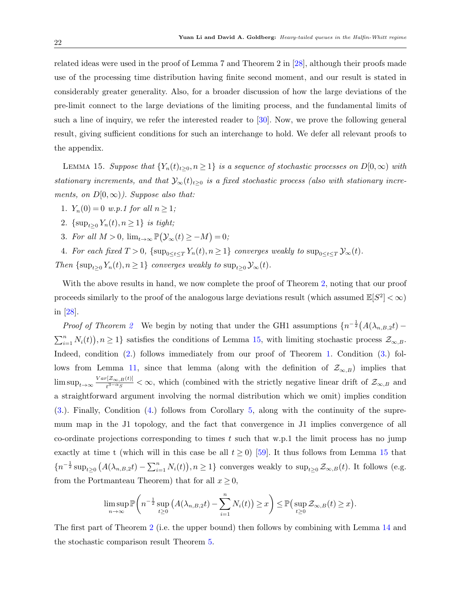related ideas were used in the proof of Lemma 7 and Theorem 2 in [\[28\]](#page-31-0), although their proofs made use of the processing time distribution having finite second moment, and our result is stated in considerably greater generality. Also, for a broader discussion of how the large deviations of the pre-limit connect to the large deviations of the limiting process, and the fundamental limits of such a line of inquiry, we refer the interested reader to [\[30\]](#page-31-16). Now, we prove the following general result, giving sufficient conditions for such an interchange to hold. We defer all relevant proofs to the appendix.

<span id="page-21-0"></span>LEMMA 15. Suppose that  ${Y_n(t)_{t\geq0, n \geq 1}}$  is a sequence of stochastic processes on  $D[0, \infty)$  with stationary increments, and that  $\mathcal{Y}_{\infty}(t)_{t\geq0}$  is a fixed stochastic process (also with stationary increments, on  $D[0,\infty)$ ). Suppose also that:

- 1.  $Y_n(0) = 0$  w.p.1 for all  $n \geq 1$ ;
- <span id="page-21-1"></span>2. { $\sup_{t>0} Y_n(t), n \ge 1$ } is tight;
- <span id="page-21-2"></span>3. For all  $M > 0$ ,  $\lim_{t \to \infty} \mathbb{P}(\mathcal{Y}_{\infty}(t) \ge -M) = 0;$
- <span id="page-21-3"></span>4. For each fixed  $T > 0$ ,  $\{\sup_{0 \le t \le T} Y_n(t), n \ge 1\}$  converges weakly to  $\sup_{0 \le t \le T} \mathcal{Y}_{\infty}(t)$ .
- Then  $\{\sup_{t\geq 0} Y_n(t), n\geq 1\}$  converges weakly to  $\sup_{t\geq 0} \mathcal{Y}_{\infty}(t)$ .

With the above results in hand, we now complete the proof of Theorem [2,](#page-9-0) noting that our proof proceeds similarly to the proof of the analogous large deviations result (which assumed  $\mathbb{E}[S^2] < \infty$ ) in [\[28\]](#page-31-0).

*Proof of Theorem [2](#page-9-0)* We begin by noting that under the GH1 assumptions  $\{n^{-\frac{1}{2}}(A(\lambda_{n,B,2}t) \sum_{i=1}^{n} N_i(t)$ ,  $n \geq 1$  satisfies the conditions of Lemma [15,](#page-21-0) with limiting stochastic process  $\mathcal{Z}_{\infty,B}$ . Indeed, condition [\(2.](#page-21-1)) follows immediately from our proof of Theorem [1.](#page-8-0) Condition [\(3.](#page-21-2)) fol-lows from Lemma [11,](#page-20-0) since that lemma (along with the definition of  $\mathcal{Z}_{\infty,B}$ ) implies that  $\limsup_{t\to\infty}\frac{Var[Z_{\infty,B}(t)]}{t^{3-\alpha}s}$  $\frac{Z_{\infty,B}(t)}{t^{3-\alpha}s} < \infty$ , which (combined with the strictly negative linear drift of  $\mathcal{Z}_{\infty,B}$  and a straightforward argument involving the normal distribution which we omit) implies condition [\(3.](#page-21-2)). Finally, Condition [\(4.](#page-21-3)) follows from Corollary [5,](#page-19-1) along with the continuity of the supremum map in the J1 topology, and the fact that convergence in J1 implies convergence of all co-ordinate projections corresponding to times  $t$  such that w.p.1 the limit process has no jump exactly at time t (which will in this case be all  $t \ge 0$ ) [\[59\]](#page-33-2). It thus follows from Lemma [15](#page-21-0) that  ${n^{-\frac{1}{2}} \sup_{t\geq 0} (A(\lambda_{n,B,2}t) - \sum_{i=1}^n N_i(t)), n\geq 1}$  converges weakly to  $\sup_{t\geq 0} \mathcal{Z}_{\infty,B}(t)$ . It follows (e.g. from the Portmanteau Theorem) that for all  $x \geq 0$ ,

$$
\limsup_{n\to\infty} \mathbb{P}\bigg(n^{-\frac{1}{2}}\sup_{t\geq 0} (A(\lambda_{n,B,2}t)-\sum_{i=1}^n N_i(t))\geq x\bigg)\leq \mathbb{P}\big(\sup_{t\geq 0} \mathcal{Z}_{\infty,B}(t)\geq x\big).
$$

The first part of Theorem [2](#page-9-0) (i.e. the upper bound) then follows by combining with Lemma [14](#page-20-3) and the stochastic comparison result Theorem [5.](#page-12-2)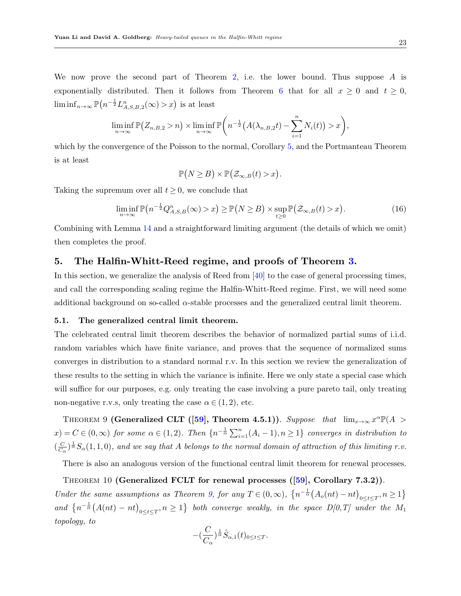We now prove the second part of Theorem [2,](#page-9-0) i.e. the lower bound. Thus suppose  $A$  is exponentially distributed. Then it follows from Theorem [6](#page-12-3) that for all  $x \geq 0$  and  $t \geq 0$ ,  $\liminf_{n\to\infty} \mathbb{P}\left(n^{-\frac{1}{2}} L_{A,S,B,2}^n(\infty) > x\right)$  is at least

$$
\liminf_{n\to\infty} \mathbb{P}\big(Z_{n,B,2}>n\big)\times \liminf_{n\to\infty} \mathbb{P}\bigg(n^{-\frac{1}{2}}\big(A(\lambda_{n,B,2}t)-\sum_{i=1}^n N_i(t)\big)>x\bigg),\,
$$

which by the convergence of the Poisson to the normal, Corollary [5,](#page-19-1) and the Portmanteau Theorem is at least

$$
\mathbb{P}(N \geq B) \times \mathbb{P}(\mathcal{Z}_{\infty,B}(t) > x).
$$

Taking the supremum over all  $t \geq 0$ , we conclude that

$$
\liminf_{n \to \infty} \mathbb{P}\big(n^{-\frac{1}{2}}Q^n_{A,S,B}(\infty) > x\big) \ge \mathbb{P}\big(N \ge B\big) \times \sup_{t \ge 0} \mathbb{P}\big(\mathcal{Z}_{\infty,B}(t) > x\big). \tag{16}
$$

Combining with Lemma [14](#page-20-3) and a straightforward limiting argument (the details of which we omit) then completes the proof.

# <span id="page-22-0"></span>5. The Halfin-Whitt-Reed regime, and proofs of Theorem [3.](#page-10-0)

In this section, we generalize the analysis of Reed from [\[40\]](#page-32-0) to the case of general processing times, and call the corresponding scaling regime the Halfin-Whitt-Reed regime. First, we will need some additional background on so-called  $\alpha$ -stable processes and the generalized central limit theorem.

#### 5.1. The generalized central limit theorem.

The celebrated central limit theorem describes the behavior of normalized partial sums of i.i.d. random variables which have finite variance, and proves that the sequence of normalized sums converges in distribution to a standard normal r.v. In this section we review the generalization of these results to the setting in which the variance is infinite. Here we only state a special case which will suffice for our purposes, e.g. only treating the case involving a pure pareto tail, only treating non-negative r.v.s, only treating the case  $\alpha \in (1,2)$ , etc.

<span id="page-22-1"></span>THEOREM 9 (Generalized CLT ([\[59\]](#page-33-2), Theorem 4.5.1)). Suppose that  $\lim_{x\to\infty} x^{\alpha} \mathbb{P}(A >$  $x) = C \in (0, \infty)$  for some  $\alpha \in (1, 2)$ . Then  $\{n^{-\frac{1}{\alpha}}\sum_{i=1}^{n}(A_i - 1), n \geq 1\}$  converges in distribution to  $\left(\frac{C}{C}\right)$  $\frac{C}{C_{\alpha}}$   $\frac{1}{\alpha}$   $S_{\alpha}(1,1,0)$ , and we say that A belongs to the normal domain of attraction of this limiting r.v.

There is also an analogous version of the functional central limit theorem for renewal processes.

<span id="page-22-2"></span>THEOREM 10 (Generalized FCLT for renewal processes  $([59],$  $([59],$  $([59],$  Corollary 7.3.2)). Under the same assumptions as Theorem [9,](#page-22-1) for any  $T \in (0, \infty)$ ,  $\left\{ n^{-\frac{1}{\alpha}} \left( A_o(nt) - nt \right)_{0 \le t \le T}, n \ge 1 \right\}$ and  $\{n^{-\frac{1}{\alpha}}(A(nt) - nt)_{0 \le t \le T}, n \ge 1\}$  both converge weakly, in the space  $D[0,T]$  under the  $M_1$ topology, to

$$
-(\frac{C}{C_{\alpha}})^{\frac{1}{\alpha}}\hat{S}_{\alpha,1}(t)_{0\leq t\leq T}.
$$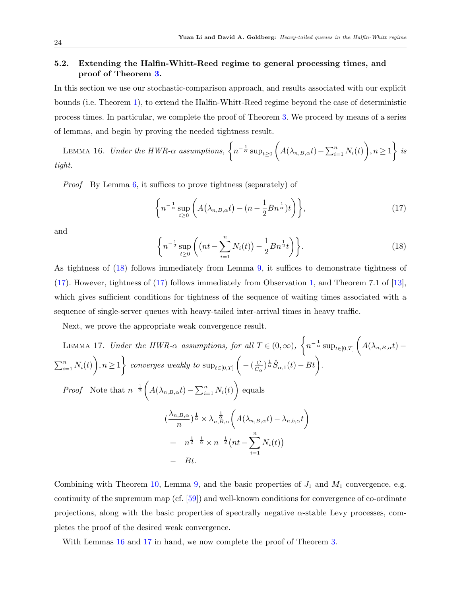# 5.2. Extending the Halfin-Whitt-Reed regime to general processing times, and proof of Theorem [3.](#page-10-0)

In this section we use our stochastic-comparison approach, and results associated with our explicit bounds (i.e. Theorem [1\)](#page-8-0), to extend the Halfin-Whitt-Reed regime beyond the case of deterministic process times. In particular, we complete the proof of Theorem [3.](#page-10-0) We proceed by means of a series of lemmas, and begin by proving the needed tightness result.

LEMMA 16. Under the HWR- $\alpha$  assumptions,  $\left\{ n^{-\frac{1}{\alpha}}\sup_{t\geq 0} \left( A(\lambda_{n,B,\alpha}t)-\sum_{i=1}^{n} N_i(t)\right), n\geq 1\right\}$  is tight.

Proof By Lemma [6,](#page-16-4) it suffices to prove tightness (separately) of

<span id="page-23-2"></span><span id="page-23-1"></span>
$$
\left\{ n^{-\frac{1}{\alpha}} \sup_{t \ge 0} \left( A\left(\lambda_{n,B,\alpha}t\right) - \left(n - \frac{1}{2}Bn^{\frac{1}{\alpha}}\right)t \right) \right\},\tag{17}
$$

and

<span id="page-23-3"></span><span id="page-23-0"></span>
$$
\left\{ n^{-\frac{1}{2}} \sup_{t \ge 0} \left( (nt - \sum_{i=1}^{n} N_i(t)) - \frac{1}{2} B n^{\frac{1}{2}} t \right) \right\}.
$$
 (18)

As tightness of [\(18\)](#page-23-0) follows immediately from Lemma [9,](#page-17-0) it suffices to demonstrate tightness of [\(17\)](#page-23-1). However, tightness of [\(17\)](#page-23-1) follows immediately from Observation [1,](#page-16-2) and Theorem 7.1 of [\[13\]](#page-30-8), which gives sufficient conditions for tightness of the sequence of waiting times associated with a sequence of single-server queues with heavy-tailed inter-arrival times in heavy traffic.

Next, we prove the appropriate weak convergence result.

LEMMA 17. Under the HWR-
$$
\alpha
$$
 assumptions, for all  $T \in (0, \infty)$ ,  $\left\{ n^{-\frac{1}{\alpha}} \sup_{t \in [0,T]} \left( A(\lambda_{n,B,\alpha}t) - \sum_{i=1}^{n} N_i(t) \right), n \ge 1 \right\}$  converges weakly to  $\sup_{t \in [0,T]} \left( -(\frac{C}{C_{\alpha}})^{\frac{1}{\alpha}} \hat{S}_{\alpha,1}(t) - Bt \right)$ .  
\nProof Note that  $n^{-\frac{1}{\alpha}} \left( A(\lambda_{n,B,\alpha}t) - \sum_{i=1}^{n} N_i(t) \right)$  equals  
\n
$$
(\frac{\lambda_{n,B,\alpha}}{n})^{\frac{1}{\alpha}} \times \lambda_{n,B,\alpha}^{-\frac{1}{\alpha}} \left( A(\lambda_{n,B,\alpha}t) - \lambda_{n,b,\alpha}t \right)
$$
\n
$$
+ n^{\frac{1}{2} - \frac{1}{\alpha}} \times n^{-\frac{1}{2}} \left( nt - \sum_{i=1}^{n} N_i(t) \right)
$$
\n
$$
- Bt.
$$

Combining with Theorem [10,](#page-22-2) Lemma [9,](#page-17-0) and the basic properties of  $J_1$  and  $M_1$  convergence, e.g. continuity of the supremum map (cf. [\[59\]](#page-33-2)) and well-known conditions for convergence of co-ordinate projections, along with the basic properties of spectrally negative  $\alpha$ -stable Levy processes, completes the proof of the desired weak convergence.

With Lemmas  $16$  and  $17$  in hand, we now complete the proof of Theorem [3.](#page-10-0)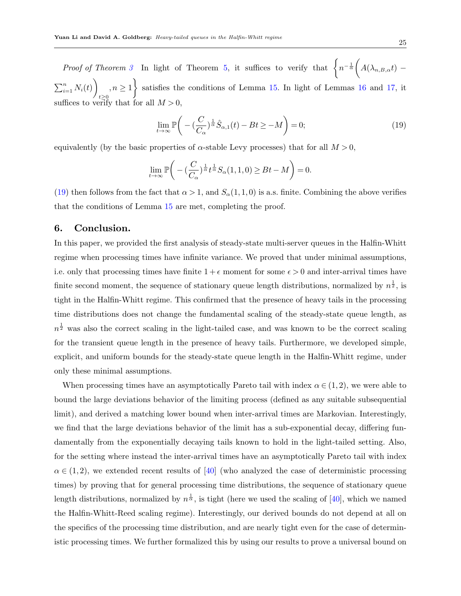Proof of Theorem [3](#page-10-0) In light of Theorem [5,](#page-12-2) it suffices to verify that  $\int n^{-\frac{1}{\alpha}} \left( A(\lambda_{n,B,\alpha}t) - B(\lambda_{n,B,\alpha}t) \right) dt$  $\sum_{i=1}^n N_i(t)$  $t\geq 0$  $\{n, n \geq 1\}$  satisfies the conditions of Lemma [15.](#page-21-0) In light of Lemmas [16](#page-23-2) and [17,](#page-23-3) it suffices to verify that for all  $M > 0$ 

<span id="page-24-1"></span>
$$
\lim_{t \to \infty} \mathbb{P}\bigg(-\left(\frac{C}{C_{\alpha}}\right)^{\frac{1}{\alpha}} \hat{S}_{\alpha,1}(t) - Bt \ge -M\bigg) = 0; \tag{19}
$$

equivalently (by the basic properties of  $\alpha$ -stable Levy processes) that for all  $M > 0$ ,

$$
\lim_{t \to \infty} \mathbb{P}\bigg(-\left(\frac{C}{C_{\alpha}}\right)^{\frac{1}{\alpha}} t^{\frac{1}{\alpha}} S_{\alpha}(1,1,0) \ge Bt - M\bigg) = 0.
$$

[\(19\)](#page-24-1) then follows from the fact that  $\alpha > 1$ , and  $S_{\alpha}(1,1,0)$  is a.s. finite. Combining the above verifies that the conditions of Lemma [15](#page-21-0) are met, completing the proof.

# <span id="page-24-0"></span>6. Conclusion.

In this paper, we provided the first analysis of steady-state multi-server queues in the Halfin-Whitt regime when processing times have infinite variance. We proved that under minimal assumptions, i.e. only that processing times have finite  $1 + \epsilon$  moment for some  $\epsilon > 0$  and inter-arrival times have finite second moment, the sequence of stationary queue length distributions, normalized by  $n^{\frac{1}{2}}$ , is tight in the Halfin-Whitt regime. This confirmed that the presence of heavy tails in the processing time distributions does not change the fundamental scaling of the steady-state queue length, as  $n^{\frac{1}{2}}$  was also the correct scaling in the light-tailed case, and was known to be the correct scaling for the transient queue length in the presence of heavy tails. Furthermore, we developed simple, explicit, and uniform bounds for the steady-state queue length in the Halfin-Whitt regime, under only these minimal assumptions.

When processing times have an asymptotically Pareto tail with index  $\alpha \in (1, 2)$ , we were able to bound the large deviations behavior of the limiting process (defined as any suitable subsequential limit), and derived a matching lower bound when inter-arrival times are Markovian. Interestingly, we find that the large deviations behavior of the limit has a sub-exponential decay, differing fundamentally from the exponentially decaying tails known to hold in the light-tailed setting. Also, for the setting where instead the inter-arrival times have an asymptotically Pareto tail with index  $\alpha \in (1, 2)$ , we extended recent results of [\[40\]](#page-32-0) (who analyzed the case of deterministic processing times) by proving that for general processing time distributions, the sequence of stationary queue length distributions, normalized by  $n^{\frac{1}{\alpha}}$ , is tight (here we used the scaling of [\[40\]](#page-32-0), which we named the Halfin-Whitt-Reed scaling regime). Interestingly, our derived bounds do not depend at all on the specifics of the processing time distribution, and are nearly tight even for the case of deterministic processing times. We further formalized this by using our results to prove a universal bound on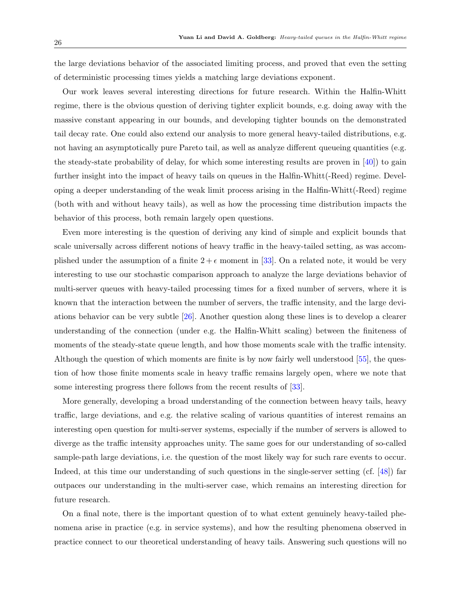the large deviations behavior of the associated limiting process, and proved that even the setting of deterministic processing times yields a matching large deviations exponent.

Our work leaves several interesting directions for future research. Within the Halfin-Whitt regime, there is the obvious question of deriving tighter explicit bounds, e.g. doing away with the massive constant appearing in our bounds, and developing tighter bounds on the demonstrated tail decay rate. One could also extend our analysis to more general heavy-tailed distributions, e.g. not having an asymptotically pure Pareto tail, as well as analyze different queueing quantities (e.g. the steady-state probability of delay, for which some interesting results are proven in  $[40]$ ) to gain further insight into the impact of heavy tails on queues in the Halfin-Whitt(-Reed) regime. Developing a deeper understanding of the weak limit process arising in the Halfin-Whitt(-Reed) regime (both with and without heavy tails), as well as how the processing time distribution impacts the behavior of this process, both remain largely open questions.

Even more interesting is the question of deriving any kind of simple and explicit bounds that scale universally across different notions of heavy traffic in the heavy-tailed setting, as was accomplished under the assumption of a finite  $2 + \epsilon$  moment in [\[33\]](#page-31-1). On a related note, it would be very interesting to use our stochastic comparison approach to analyze the large deviations behavior of multi-server queues with heavy-tailed processing times for a fixed number of servers, where it is known that the interaction between the number of servers, the traffic intensity, and the large deviations behavior can be very subtle [\[26\]](#page-31-8). Another question along these lines is to develop a clearer understanding of the connection (under e.g. the Halfin-Whitt scaling) between the finiteness of moments of the steady-state queue length, and how those moments scale with the traffic intensity. Although the question of which moments are finite is by now fairly well understood [\[55\]](#page-33-0), the question of how those finite moments scale in heavy traffic remains largely open, where we note that some interesting progress there follows from the recent results of [\[33\]](#page-31-1).

More generally, developing a broad understanding of the connection between heavy tails, heavy traffic, large deviations, and e.g. the relative scaling of various quantities of interest remains an interesting open question for multi-server systems, especially if the number of servers is allowed to diverge as the traffic intensity approaches unity. The same goes for our understanding of so-called sample-path large deviations, i.e. the question of the most likely way for such rare events to occur. Indeed, at this time our understanding of such questions in the single-server setting (cf. [\[48\]](#page-32-9)) far outpaces our understanding in the multi-server case, which remains an interesting direction for future research.

On a final note, there is the important question of to what extent genuinely heavy-tailed phenomena arise in practice (e.g. in service systems), and how the resulting phenomena observed in practice connect to our theoretical understanding of heavy tails. Answering such questions will no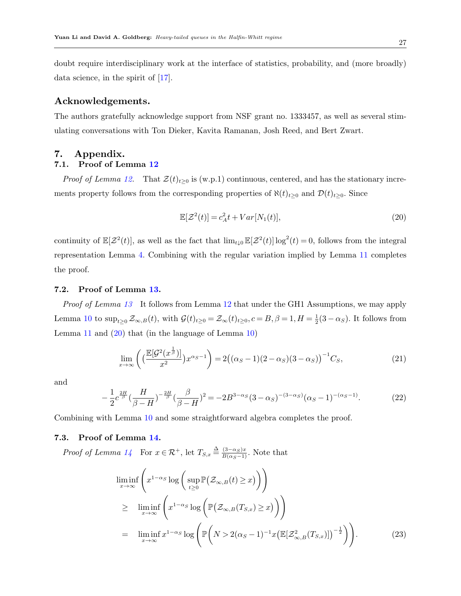doubt require interdisciplinary work at the interface of statistics, probability, and (more broadly) data science, in the spirit of [\[17\]](#page-30-6).

# Acknowledgements.

The authors gratefully acknowledge support from NSF grant no. 1333457, as well as several stimulating conversations with Ton Dieker, Kavita Ramanan, Josh Reed, and Bert Zwart.

# 7. Appendix.

# 7.1. Proof of Lemma [12](#page-20-1)

*Proof of Lemma [12.](#page-20-1)* That  $\mathcal{Z}(t)_{t\geq0}$  is (w.p.1) continuous, centered, and has the stationary increments property follows from the corresponding properties of  $\aleph(t)_{t\geq0}$  and  $\mathcal{D}(t)_{t\geq0}$ . Since

<span id="page-26-0"></span>
$$
\mathbb{E}[\mathcal{Z}^2(t)] = c_A^2 t + Var[N_1(t)],\tag{20}
$$

continuity of  $\mathbb{E}[\mathcal{Z}^2(t)]$ , as well as the fact that  $\lim_{t\downarrow 0} \mathbb{E}[\mathcal{Z}^2(t)] \log^2(t) = 0$ , follows from the integral representation Lemma [4.](#page-14-2) Combining with the regular variation implied by Lemma [11](#page-20-0) completes the proof.

## 7.2. Proof of Lemma [13.](#page-20-2)

Proof of Lemma [13](#page-20-2) It follows from Lemma [12](#page-20-1) that under the GH1 Assumptions, we may apply Lemma [10](#page-19-0) to  $\sup_{t\geq 0} \mathcal{Z}_{\infty,B}(t)$ , with  $\mathcal{G}(t)_{t\geq 0} = \mathcal{Z}_{\infty}(t)_{t\geq 0}$ ,  $c = B, \beta = 1, H = \frac{1}{2}$  $\frac{1}{2}(3-\alpha_S)$ . It follows from Lemma [11](#page-20-0) and  $(20)$  that (in the language of Lemma [10\)](#page-19-0)

$$
\lim_{x \to \infty} \left( \left( \frac{\mathbb{E}[\mathcal{G}^2(x^{\frac{1}{\beta}})]}{x^2} \right) x^{\alpha s - 1} \right) = 2 \left( (\alpha_s - 1)(2 - \alpha_s)(3 - \alpha_s) \right)^{-1} C_s,
$$
\n(21)

and

$$
-\frac{1}{2}c^{\frac{2H}{\beta}}\left(\frac{H}{\beta-H}\right)^{-\frac{2H}{\beta}}\left(\frac{\beta}{\beta-H}\right)^2 = -2B^{3-\alpha_S}(3-\alpha_S)^{-(3-\alpha_S)}(\alpha_S-1)^{-(\alpha_S-1)}.
$$
 (22)

Combining with Lemma [10](#page-19-0) and some straightforward algebra completes the proof.

#### 7.3. Proof of Lemma [14.](#page-20-3)

*Proof of Lemma [14](#page-20-3)* For  $x \in \mathcal{R}^+$ , let  $T_{S,x} \triangleq \frac{(3-\alpha_S)x}{B(\alpha_S-1)}$ . Note that

<span id="page-26-1"></span>
$$
\liminf_{x \to \infty} \left( x^{1-\alpha_S} \log \left( \sup_{t \ge 0} \mathbb{P}(\mathcal{Z}_{\infty,B}(t) \ge x) \right) \right)
$$
\n
$$
\ge \liminf_{x \to \infty} \left( x^{1-\alpha_S} \log \left( \mathbb{P}(\mathcal{Z}_{\infty,B}(T_{S,x}) \ge x) \right) \right)
$$
\n
$$
= \liminf_{x \to \infty} x^{1-\alpha_S} \log \left( \mathbb{P} \left( N > 2(\alpha_S - 1)^{-1} x \left( \mathbb{E}[\mathcal{Z}_{\infty,B}^2(T_{S,x})] \right)^{-\frac{1}{2}} \right) \right).
$$
\n(23)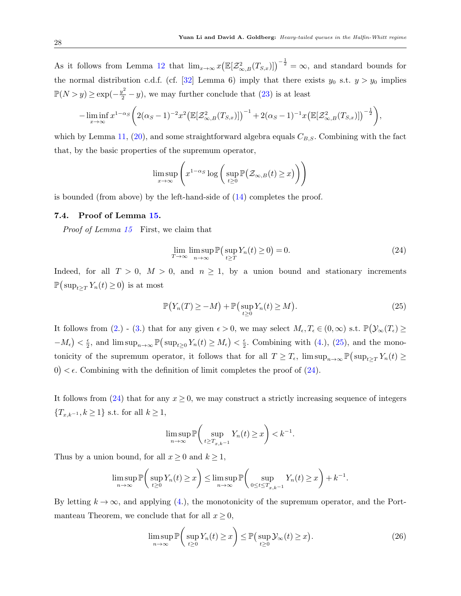As it follows from Lemma [12](#page-20-1) that  $\lim_{x\to\infty} x(\mathbb{E}[\mathcal{Z}^2_{\infty,B}(T_{S,x})])^{-\frac{1}{2}} = \infty$ , and standard bounds for the normal distribution c.d.f. (cf. [\[32\]](#page-31-3) Lemma 6) imply that there exists  $y_0$  s.t.  $y > y_0$  implies  $\mathbb{P}(N > y) \ge \exp(-\frac{y^2}{2} - y)$ , we may further conclude that [\(23\)](#page-26-1) is at least

$$
-\liminf_{x\to\infty} x^{1-\alpha_S} \bigg( 2(\alpha_S-1)^{-2} x^2 \big( \mathbb{E}[\mathcal{Z}_{\infty,B}^2(T_{S,x})] \big)^{-1} + 2(\alpha_S-1)^{-1} x \big( \mathbb{E}[\mathcal{Z}_{\infty,B}^2(T_{S,x})] \big)^{-\frac{1}{2}} \bigg),
$$

which by Lemma [11,](#page-20-0) [\(20\)](#page-26-0), and some straightforward algebra equals  $C_{B,S}$ . Combining with the fact that, by the basic properties of the supremum operator,

$$
\limsup_{x \to \infty} \left( x^{1-\alpha_S} \log \left( \sup_{t \ge 0} \mathbb{P}(\mathcal{Z}_{\infty,B}(t) \ge x) \right) \right)
$$

is bounded (from above) by the left-hand-side of  $(14)$  completes the proof.

# 7.4. Proof of Lemma [15.](#page-21-0)

Proof of Lemma [15](#page-21-0) First, we claim that

<span id="page-27-1"></span>
$$
\lim_{T \to \infty} \limsup_{n \to \infty} \mathbb{P}\left(\sup_{t \ge T} Y_n(t) \ge 0\right) = 0. \tag{24}
$$

Indeed, for all  $T > 0$ ,  $M > 0$ , and  $n \ge 1$ , by a union bound and stationary increments  $\mathbb{P}(\sup_{t\geq T} Y_n(t) \geq 0)$  is at most

<span id="page-27-0"></span>
$$
\mathbb{P}\big(Y_n(T)\geq -M\big)+\mathbb{P}\big(\sup_{t\geq 0}Y_n(t)\geq M\big). \tag{25}
$$

It follows from [\(2.](#page-21-1)) - [\(3.](#page-21-2)) that for any given  $\epsilon > 0$ , we may select  $M_{\epsilon}, T_{\epsilon} \in (0, \infty)$  s.t.  $\mathbb{P}(\mathcal{Y}_{\infty}(T_{\epsilon}) \geq 0)$  $-M_{\epsilon}\big)<\frac{\epsilon}{2}$  $\frac{\epsilon}{2}$ , and  $\limsup_{n\to\infty} \mathbb{P}(\sup_{t\geq 0} Y_n(t) \geq M_{\epsilon}) < \frac{\epsilon}{2}$  $\frac{\epsilon}{2}$ . Combining with [\(4.](#page-21-3)), [\(25\)](#page-27-0), and the monotonicity of the supremum operator, it follows that for all  $T \geq T_{\epsilon}$ ,  $\limsup_{n\to\infty} \mathbb{P}(\sup_{t\geq T} Y_n(t) \geq$  $0$   $< \epsilon$ . Combining with the definition of limit completes the proof of [\(24\)](#page-27-1).

It follows from  $(24)$  that for any  $x \ge 0$ , we may construct a strictly increasing sequence of integers  ${T_{x,k-1}, k \ge 1}$  s.t. for all  $k \ge 1$ ,

$$
\limsup_{n \to \infty} \mathbb{P}\bigg(\sup_{t \ge T_{x,k-1}} Y_n(t) \ge x\bigg) < k^{-1}.
$$

Thus by a union bound, for all  $x \geq 0$  and  $k \geq 1$ ,

$$
\limsup_{n \to \infty} \mathbb{P}\bigg(\sup_{t \ge 0} Y_n(t) \ge x\bigg) \le \limsup_{n \to \infty} \mathbb{P}\bigg(\sup_{0 \le t \le T_{x,k-1}} Y_n(t) \ge x\bigg) + k^{-1}.
$$

By letting  $k \to \infty$ , and applying [\(4.](#page-21-3)), the monotonicity of the supremum operator, and the Portmanteau Theorem, we conclude that for all  $x \geq 0$ ,

<span id="page-27-2"></span>
$$
\limsup_{n \to \infty} \mathbb{P}\left(\sup_{t \ge 0} Y_n(t) \ge x\right) \le \mathbb{P}\left(\sup_{t \ge 0} \mathcal{Y}_\infty(t) \ge x\right). \tag{26}
$$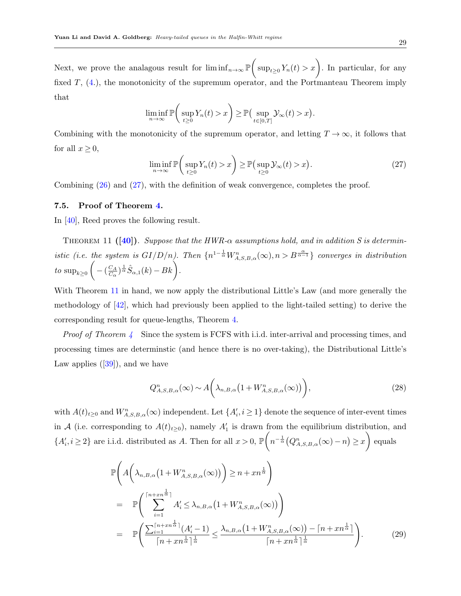Next, we prove the analagous result for  $\liminf_{n\to\infty} \mathbb{P}\left(\sup_{t\geq 0} Y_n(t) > x\right)$ . In particular, for any fixed  $T$ ,  $(4)$ , the monotonicity of the supremum operator, and the Portmanteau Theorem imply that

$$
\liminf_{n\to\infty} \mathbb{P}\bigg(\sup_{t\geq 0} Y_n(t) > x\bigg) \geq \mathbb{P}\big(\sup_{t\in[0,T]} \mathcal{Y}_{\infty}(t) > x\big).
$$

Combining with the monotonicity of the supremum operator, and letting  $T \to \infty$ , it follows that for all  $x \geq 0$ ,

<span id="page-28-1"></span><span id="page-28-0"></span>
$$
\liminf_{n \to \infty} \mathbb{P}\bigg(\sup_{t \ge 0} Y_n(t) > x\bigg) \ge \mathbb{P}\big(\sup_{t \ge 0} \mathcal{Y}_\infty(t) > x\big). \tag{27}
$$

Combining [\(26\)](#page-27-2) and [\(27\)](#page-28-0), with the definition of weak convergence, completes the proof.

#### 7.5. Proof of Theorem [4.](#page-11-2)

In [\[40\]](#page-32-0), Reed proves the following result.

THEOREM 11 ([\[40\]](#page-32-0)). Suppose that the HWR- $\alpha$  assumptions hold, and in addition S is deterministic (i.e. the system is  $GI/D/n$ ). Then  $\{n^{1-\frac{1}{\alpha}}W^n_{A,S,B,\alpha}(\infty),n>B^{\frac{\alpha}{\alpha-1}}\}$  converges in distribution to  $\sup_{k\geq 0} \Bigg(-\big(\frac{C_A}{C_{\alpha}}\Bigg)$  $\frac{C_A}{C_{\alpha}}$ <sub>)</sub>  $\frac{1}{\alpha} \hat{S}_{\alpha,1}(k) - Bk$ 

With Theorem [11](#page-28-1) in hand, we now apply the distributional Little's Law (and more generally the methodology of [\[42\]](#page-32-8), which had previously been applied to the light-tailed setting) to derive the corresponding result for queue-lengths, Theorem [4.](#page-11-2)

Proof of Theorem [4](#page-11-2) Since the system is FCFS with i.i.d. inter-arrival and processing times, and processing times are determinstic (and hence there is no over-taking), the Distributional Little's Lawapplies  $([39])$  $([39])$  $([39])$ , and we have

$$
Q_{A,S,B,\alpha}^n(\infty) \sim A\bigg(\lambda_{n,B,\alpha}\big(1 + W_{A,S,B,\alpha}^n(\infty)\big)\bigg),\tag{28}
$$

with  $A(t)_{t\geq0}$  and  $W^n_{A,S,B,\alpha}(\infty)$  independent. Let  $\{A'_i, i\geq1\}$  denote the sequence of inter-event times in A (i.e. corresponding to  $A(t)_{t\geq0}$ ), namely  $A'_1$  is drawn from the equilibrium distribution, and  ${A'_i, i \geq 2}$  are i.i.d. distributed as A. Then for all  $x > 0$ ,  $\mathbb{P}\left(n^{-\frac{1}{\alpha}}(Q_{A,S,B,\alpha}^n(\infty)-n) \geq x\right)$  equals

$$
\mathbb{P}\left(A\left(\lambda_{n,B,\alpha}\left(1+W_{A,S,B,\alpha}^n(\infty)\right)\right)\geq n+xn^{\frac{1}{\alpha}}\right)
$$
\n
$$
=\mathbb{P}\left(\sum_{i=1}^{\lceil n+xn^{\frac{1}{\alpha}}\rceil}A'_i\leq \lambda_{n,B,\alpha}\left(1+W_{A,S,B,\alpha}^n(\infty)\right)\right)
$$
\n
$$
=\mathbb{P}\left(\frac{\sum_{i=1}^{\lceil n+xn^{\frac{1}{\alpha}}\rceil}(A'_i-1)}{\lceil n+xn^{\frac{1}{\alpha}}\rceil^{\frac{1}{\alpha}}}\leq \frac{\lambda_{n,B,\alpha}\left(1+W_{A,S,B,\alpha}^n(\infty)\right)-\lceil n+xn^{\frac{1}{\alpha}}\rceil}{\lceil n+xn^{\frac{1}{\alpha}}\rceil^{\frac{1}{\alpha}}}\right).
$$
\n(29)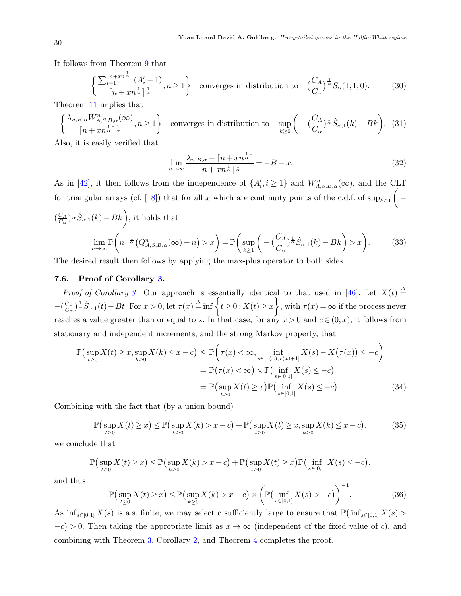It follows from Theorem [9](#page-22-1) that

$$
\left\{ \frac{\sum_{i=1}^{\lceil n+xn^{\frac{1}{\alpha}} \rceil} (A_i'-1)}{\lceil n+xn^{\frac{1}{\alpha}} \rceil^{\frac{1}{\alpha}}}, n \ge 1 \right\}
$$
 converges in distribution to  $\left(\frac{C_A}{C_\alpha}\right)^{\frac{1}{\alpha}} S_\alpha(1,1,0).$  (30)

Theorem [11](#page-28-1) implies that

$$
\left\{\frac{\lambda_{n,B,\alpha}W_{A,S,B,\alpha}^{n}(\infty)}{\lceil n+xn^{\frac{1}{\alpha}}\rceil^{\frac{1}{\alpha}}},n\geq 1\right\} \text{ converges in distribution to } \sup_{k\geq 0}\left(-\left(\frac{C_A}{C_{\alpha}}\right)^{\frac{1}{\alpha}}\hat{S}_{\alpha,1}(k)-Bk\right). (31)
$$

Also, it is easily verified that

$$
\lim_{n \to \infty} \frac{\lambda_{n,B,\alpha} - \left\lceil n + xn^{\frac{1}{\alpha}} \right\rceil}{\left\lceil n + xn^{\frac{1}{\alpha}} \right\rceil^{\frac{1}{\alpha}}} = -B - x.
$$
\n(32)

As in [\[42\]](#page-32-8), it then follows from the independence of  $\{A'_i, i \geq 1\}$  and  $W^n_{A,S,B,\alpha}(\infty)$ , and the CLT for triangular arrays (cf. [\[18\]](#page-31-17)) that for all x which are continuity points of the c.d.f. of  $\sup_{k\geq 1}$   $\Big(-\frac{1}{k\cdot 1}$  $\left(\frac{C_A}{C}\right)$  $\frac{C_A}{C_{\alpha}}$   $\frac{1}{\alpha} \hat{S}_{\alpha,1}(k) - Bk$ , it holds that

$$
\lim_{n \to \infty} \mathbb{P}\left(n^{-\frac{1}{\alpha}}(Q_{A,S,B,\alpha}^n(\infty) - n) > x\right) = \mathbb{P}\left(\sup_{k \ge 1} \left(-\left(\frac{C_A}{C_\alpha}\right)^{\frac{1}{\alpha}} \hat{S}_{\alpha,1}(k) - Bk\right) > x\right).
$$
(33)

The desired result then follows by applying the max-plus operator to both sides.

#### 7.6. Proof of Corollary [3.](#page-11-3)

*Proof of Corollary [3](#page-11-3)* Our approach is essentially identical to that used in [\[46\]](#page-32-12). Let  $X(t) \triangleq$  $-\left(\frac{C_A}{C}\right)$  $\frac{C_A}{C_{\alpha}}\Big)^{\frac{1}{\alpha}}\hat{S}_{\alpha,1}(t)-Bt.$  For  $x>0$ , let  $\tau(x)\stackrel{\Delta}{=}$  inf  $\Big\{t\geq 0:X(t)\geq x\Big\}$ , with  $\tau(x)=\infty$  if the process never reaches a value greater than or equal to x. In that case, for any  $x > 0$  and  $c \in (0, x)$ , it follows from stationary and independent increments, and the strong Markov property, that

$$
\mathbb{P}\left(\sup_{t\geq 0} X(t) \geq x, \sup_{k\geq 0} X(k) \leq x - c\right) \leq \mathbb{P}\left(\tau(x) < \infty, \inf_{s \in [\tau(x), \tau(x) + 1]} X(s) - X(\tau(x)) \leq -c\right) \\
= \mathbb{P}\left(\tau(x) < \infty\right) \times \mathbb{P}\left(\inf_{s \in [0,1]} X(s) \leq -c\right) \\
= \mathbb{P}\left(\sup_{t\geq 0} X(t) \geq x\right) \mathbb{P}\left(\inf_{s \in [0,1]} X(s) \leq -c\right). \tag{34}
$$

Combining with the fact that (by a union bound)

$$
\mathbb{P}\left(\sup_{t\geq 0} X(t) \geq x\right) \leq \mathbb{P}\left(\sup_{k\geq 0} X(k) > x - c\right) + \mathbb{P}\left(\sup_{t\geq 0} X(t) \geq x, \sup_{k\geq 0} X(k) \leq x - c\right),\tag{35}
$$

we conclude that

$$
\mathbb{P}\left(\sup_{t\geq 0}X(t)\geq x\right)\leq \mathbb{P}\left(\sup_{k\geq 0}X(k)>x-c\right)+\mathbb{P}\left(\sup_{t\geq 0}X(t)\geq x\right)\mathbb{P}\left(\inf_{s\in[0,1]}X(s)\leq -c\right),
$$

and thus

$$
\mathbb{P}\left(\sup_{t\geq 0} X(t) \geq x\right) \leq \mathbb{P}\left(\sup_{k\geq 0} X(k) > x - c\right) \times \left(\mathbb{P}\left(\inf_{s\in[0,1]} X(s) > -c\right)\right)^{-1}.\tag{36}
$$

As  $\inf_{s\in[0,1]} X(s)$  is a.s. finite, we may select c sufficiently large to ensure that  $\mathbb{P}(\inf_{s\in[0,1]} X(s)$  $-c$  > 0. Then taking the appropriate limit as  $x \to \infty$  (independent of the fixed value of c), and combining with Theorem [3,](#page-10-0) Corollary [2,](#page-11-4) and Theorem [4](#page-11-2) completes the proof.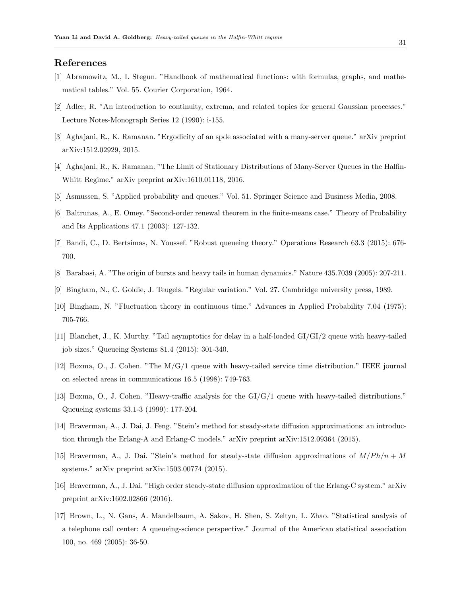# <span id="page-30-11"></span>References

- [1] Abramowitz, M., I. Stegun. "Handbook of mathematical functions: with formulas, graphs, and mathematical tables." Vol. 55. Courier Corporation, 1964.
- <span id="page-30-15"></span>[2] Adler, R. "An introduction to continuity, extrema, and related topics for general Gaussian processes." Lecture Notes-Monograph Series 12 (1990): i-155.
- <span id="page-30-0"></span>[3] Aghajani, R., K. Ramanan. "Ergodicity of an spde associated with a many-server queue." arXiv preprint arXiv:1512.02929, 2015.
- <span id="page-30-1"></span>[4] Aghajani, R., K. Ramanan. "The Limit of Stationary Distributions of Many-Server Queues in the Halfin-Whitt Regime." arXiv preprint arXiv:1610.01118, 2016.
- <span id="page-30-12"></span>[5] Asmussen, S. "Applied probability and queues." Vol. 51. Springer Science and Business Media, 2008.
- <span id="page-30-14"></span>[6] Baltrunas, A., E. Omey. "Second-order renewal theorem in the finite-means case." Theory of Probability and Its Applications 47.1 (2003): 127-132.
- <span id="page-30-10"></span>[7] Bandi, C., D. Bertsimas, N. Youssef. "Robust queueing theory." Operations Research 63.3 (2015): 676- 700.
- <span id="page-30-5"></span>[8] Barabasi, A. "The origin of bursts and heavy tails in human dynamics." Nature 435.7039 (2005): 207-211.
- <span id="page-30-16"></span>[9] Bingham, N., C. Goldie, J. Teugels. "Regular variation." Vol. 27. Cambridge university press, 1989.
- <span id="page-30-13"></span>[10] Bingham, N. "Fluctuation theory in continuous time." Advances in Applied Probability 7.04 (1975): 705-766.
- <span id="page-30-9"></span>[11] Blanchet, J., K. Murthy. "Tail asymptotics for delay in a half-loaded GI/GI/2 queue with heavy-tailed job sizes." Queueing Systems 81.4 (2015): 301-340.
- <span id="page-30-7"></span>[12] Boxma, O., J. Cohen. "The M/G/1 queue with heavy-tailed service time distribution." IEEE journal on selected areas in communications 16.5 (1998): 749-763.
- <span id="page-30-8"></span>[13] Boxma, O., J. Cohen. "Heavy-traffic analysis for the GI/G/1 queue with heavy-tailed distributions." Queueing systems 33.1-3 (1999): 177-204.
- <span id="page-30-4"></span>[14] Braverman, A., J. Dai, J. Feng. "Stein's method for steady-state diffusion approximations: an introduction through the Erlang-A and Erlang-C models." arXiv preprint arXiv:1512.09364 (2015).
- <span id="page-30-3"></span>[15] Braverman, A., J. Dai. "Stein's method for steady-state diffusion approximations of  $M/Ph/n + M$ systems." arXiv preprint arXiv:1503.00774 (2015).
- <span id="page-30-2"></span>[16] Braverman, A., J. Dai. "High order steady-state diffusion approximation of the Erlang-C system." arXiv preprint arXiv:1602.02866 (2016).
- <span id="page-30-6"></span>[17] Brown, L., N. Gans, A. Mandelbaum, A. Sakov, H. Shen, S. Zeltyn, L. Zhao. "Statistical analysis of a telephone call center: A queueing-science perspective." Journal of the American statistical association 100, no. 469 (2005): 36-50.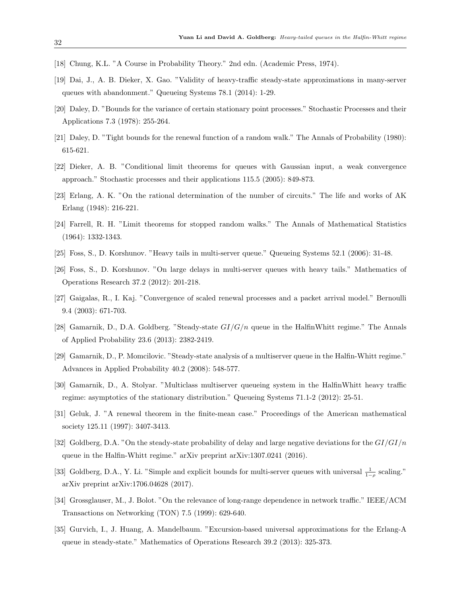- <span id="page-31-17"></span>[18] Chung, K.L. "A Course in Probability Theory." 2nd edn. (Academic Press, 1974).
- <span id="page-31-5"></span>[19] Dai, J., A. B. Dieker, X. Gao. "Validity of heavy-traffic steady-state approximations in many-server queues with abandonment." Queueing Systems 78.1 (2014): 1-29.
- <span id="page-31-10"></span>[20] Daley, D. "Bounds for the variance of certain stationary point processes." Stochastic Processes and their Applications 7.3 (1978): 255-264.
- <span id="page-31-11"></span>[21] Daley, D. "Tight bounds for the renewal function of a random walk." The Annals of Probability (1980): 615-621.
- <span id="page-31-15"></span>[22] Dieker, A. B. "Conditional limit theorems for queues with Gaussian input, a weak convergence approach." Stochastic processes and their applications 115.5 (2005): 849-873.
- <span id="page-31-2"></span>[23] Erlang, A. K. "On the rational determination of the number of circuits." The life and works of AK Erlang (1948): 216-221.
- <span id="page-31-14"></span>[24] Farrell, R. H. "Limit theorems for stopped random walks." The Annals of Mathematical Statistics (1964): 1332-1343.
- <span id="page-31-9"></span>[25] Foss, S., D. Korshunov. "Heavy tails in multi-server queue." Queueing Systems 52.1 (2006): 31-48.
- <span id="page-31-8"></span>[26] Foss, S., D. Korshunov. "On large delays in multi-server queues with heavy tails." Mathematics of Operations Research 37.2 (2012): 201-218.
- <span id="page-31-13"></span>[27] Gaigalas, R., I. Kaj. "Convergence of scaled renewal processes and a packet arrival model." Bernoulli 9.4 (2003): 671-703.
- <span id="page-31-0"></span>[28] Gamarnik, D., D.A. Goldberg. "Steady-state  $GI/G/n$  queue in the HalfinWhitt regime." The Annals of Applied Probability 23.6 (2013): 2382-2419.
- <span id="page-31-4"></span>[29] Gamarnik, D., P. Momcilovic. "Steady-state analysis of a multiserver queue in the Halfin-Whitt regime." Advances in Applied Probability 40.2 (2008): 548-577.
- <span id="page-31-16"></span>[30] Gamarnik, D., A. Stolyar. "Multiclass multiserver queueing system in the HalfinWhitt heavy traffic regime: asymptotics of the stationary distribution." Queueing Systems 71.1-2 (2012): 25-51.
- <span id="page-31-12"></span>[31] Geluk, J. "A renewal theorem in the finite-mean case." Proceedings of the American mathematical society 125.11 (1997): 3407-3413.
- <span id="page-31-3"></span>[32] Goldberg, D.A. "On the steady-state probability of delay and large negative deviations for the  $GI/GI/n$ queue in the Halfin-Whitt regime." arXiv preprint arXiv:1307.0241 (2016).
- <span id="page-31-1"></span>[33] Goldberg, D.A., Y. Li. "Simple and explicit bounds for multi-server queues with universal  $\frac{1}{1-\rho}$  scaling." arXiv preprint arXiv:1706.04628 (2017).
- <span id="page-31-7"></span>[34] Grossglauser, M., J. Bolot. "On the relevance of long-range dependence in network traffic." IEEE/ACM Transactions on Networking (TON) 7.5 (1999): 629-640.
- <span id="page-31-6"></span>[35] Gurvich, I., J. Huang, A. Mandelbaum. "Excursion-based universal approximations for the Erlang-A queue in steady-state." Mathematics of Operations Research 39.2 (2013): 325-373.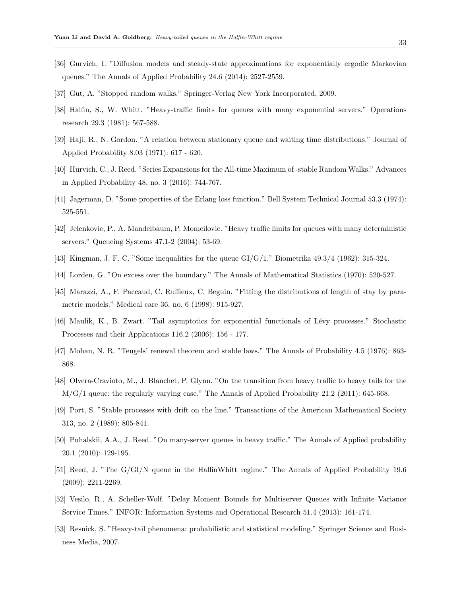- <span id="page-32-5"></span>[36] Gurvich, I. "Diffusion models and steady-state approximations for exponentially ergodic Markovian queues." The Annals of Applied Probability 24.6 (2014): 2527-2559.
- <span id="page-32-15"></span>[37] Gut, A. "Stopped random walks." Springer-Verlag New York Incorporated, 2009.
- <span id="page-32-2"></span>[38] Halfin, S., W. Whitt. "Heavy-traffic limits for queues with many exponential servers." Operations research 29.3 (1981): 567-588.
- <span id="page-32-17"></span>[39] Haji, R., N. Gordon. "A relation between stationary queue and waiting time distributions." Journal of Applied Probability 8.03 (1971): 617 - 620.
- <span id="page-32-0"></span>[40] Hurvich, C., J. Reed. "Series Expansions for the All-time Maximum of -stable Random Walks." Advances in Applied Probability 48, no. 3 (2016): 744-767.
- <span id="page-32-1"></span>[41] Jagerman, D. "Some properties of the Erlang loss function." Bell System Technical Journal 53.3 (1974): 525-551.
- <span id="page-32-8"></span>[42] Jelenkovic, P., A. Mandelbaum, P. Momcilovic. "Heavy traffic limits for queues with many deterministic servers." Queueing Systems 47.1-2 (2004): 53-69.
- <span id="page-32-16"></span>[43] Kingman, J. F. C. "Some inequalities for the queue GI/G/1." Biometrika 49.3/4 (1962): 315-324.
- <span id="page-32-13"></span>[44] Lorden, G. "On excess over the boundary." The Annals of Mathematical Statistics (1970): 520-527.
- <span id="page-32-6"></span>[45] Marazzi, A., F. Paccaud, C. Ruffieux, C. Beguin. "Fitting the distributions of length of stay by parametric models." Medical care 36, no. 6 (1998): 915-927.
- <span id="page-32-12"></span>[46] Maulik, K., B. Zwart. "Tail asymptotics for exponential functionals of L´evy processes." Stochastic Processes and their Applications 116.2 (2006): 156 - 177.
- <span id="page-32-14"></span>[47] Mohan, N. R. "Teugels' renewal theorem and stable laws." The Annals of Probability 4.5 (1976): 863- 868.
- <span id="page-32-9"></span>[48] Olvera-Cravioto, M., J. Blanchet, P. Glynn. "On the transition from heavy traffic to heavy tails for the M/G/1 queue: the regularly varying case." The Annals of Applied Probability 21.2 (2011): 645-668.
- <span id="page-32-11"></span>[49] Port, S. "Stable processes with drift on the line." Transactions of the American Mathematical Society 313, no. 2 (1989): 805-841.
- <span id="page-32-4"></span>[50] Puhalskii, A.A., J. Reed. "On many-server queues in heavy traffic." The Annals of Applied probability 20.1 (2010): 129-195.
- <span id="page-32-3"></span>[51] Reed, J. "The G/GI/N queue in the HalfinWhitt regime." The Annals of Applied Probability 19.6 (2009): 2211-2269.
- <span id="page-32-10"></span>[52] Vesilo, R., A. Scheller-Wolf. "Delay Moment Bounds for Multiserver Queues with Infinite Variance Service Times." INFOR: Information Systems and Operational Research 51.4 (2013): 161-174.
- <span id="page-32-7"></span>[53] Resnick, S. "Heavy-tail phenomena: probabilistic and statistical modeling." Springer Science and Business Media, 2007.